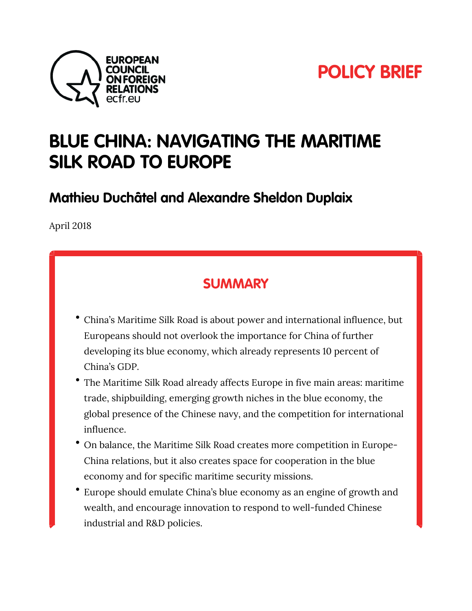



# **BLUE CHINA: NAVIGATING THE MARITIME SILK ROAD TO EUROPE**

**Mathieu Duchâtel and Alexandre Sheldon Duplaix**

April 2018

### **SUMMARY**

- China's Maritime Silk Road is about power and international influence, but Europeans should not overlook the importance for China of further developing its blue economy, which already represents 10 percent of China's GDP.
- The Maritime Silk Road already affects Europe in five main areas: maritime trade, shipbuilding, emerging growth niches in the blue economy, the global presence of the Chinese navy, and the competition for international influence.
- On balance, the Maritime Silk Road creates more competition in Europe-China relations, but it also creates space for cooperation in the blue economy and for specific maritime security missions.
- Europe should emulate China's blue economy as an engine of growth and wealth, and encourage innovation to respond to well-funded Chinese industrial and R&D policies.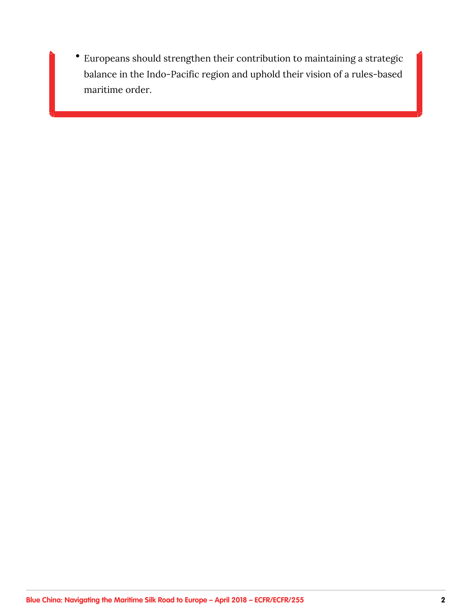Europeans should strengthen their contribution to maintaining a strategic  $\bullet$ balance in the Indo-Pacific region and uphold their vision of a rules-based maritime order.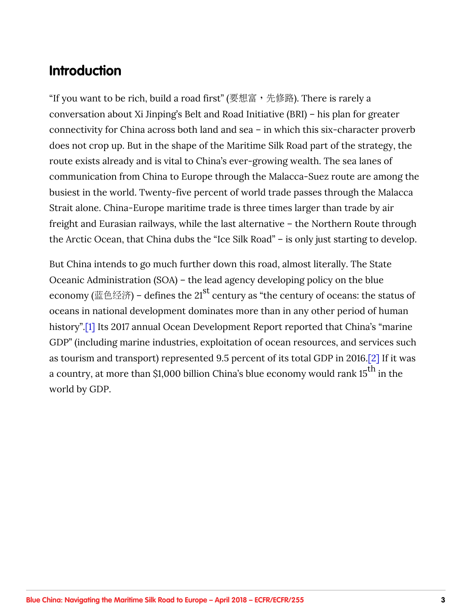### <span id="page-2-0"></span>**Introduction**

"If you want to be rich, build a road first" (要想富, 先修路). There is rarely a conversation about Xi Jinping's Belt and Road Initiative (BRI) – his plan for greater connectivity for China across both land and sea – in which this six-character proverb does not crop up. But in the shape of the Maritime Silk Road part of the strategy, the route exists already and is vital to China's ever-growing wealth. The sea lanes of communication from China to Europe through the Malacca-Suez route are among the busiest in the world. Twenty-five percent of world trade passes through the Malacca Strait alone. China-Europe maritime trade is three times larger than trade by air freight and Eurasian railways, while the last alternative – the Northern Route through the Arctic Ocean, that China dubs the "Ice Silk Road" – is only just starting to develop.

But China intends to go much further down this road, almost literally. The State Oceanic Administration (SOA) – the lead agency developing policy on the blue economy (蓝色经济) – defines the 21<sup>st</sup> century as "the century of oceans: the status of oceans in national development dominates more than in any other period of human history"[.\[1\]](#page-40-0) Its 2017 annual Ocean Development Report reported that China's "marine GDP" (including marine industries, exploitation of ocean resources, and services such as tourism and transport) represented 9.5 percent of its total GDP in 2016[.\[2\]](#page-41-0) If it was a country, at more than \$1,000 billion China's blue economy would rank 15<sup>th</sup> in the world by GDP.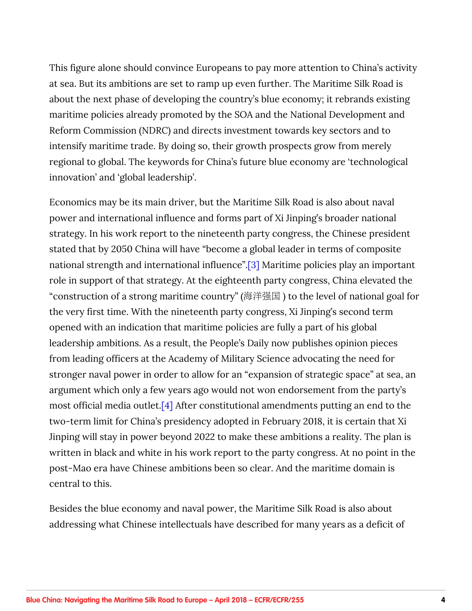<span id="page-3-0"></span>This figure alone should convince Europeans to pay more attention to China's activity at sea. But its ambitions are set to ramp up even further. The Maritime Silk Road is about the next phase of developing the country's blue economy; it rebrands existing maritime policies already promoted by the SOA and the National Development and Reform Commission (NDRC) and directs investment towards key sectors and to intensify maritime trade. By doing so, their growth prospects grow from merely regional to global. The keywords for China's future blue economy are 'technological innovation' and 'global leadership'.

Economics may be its main driver, but the Maritime Silk Road is also about naval power and international influence and forms part of Xi Jinping's broader national strategy. In his work report to the nineteenth party congress, the Chinese president stated that by 2050 China will have "become a global leader in terms of composite national strength and international influence"[.\[3\]](#page-41-0) Maritime policies play an important role in support of that strategy. At the eighteenth party congress, China elevated the "construction of a strong maritime country" (海洋强国) to the level of national goal for the very first time. With the nineteenth party congress, Xi Jinping's second term opened with an indication that maritime policies are fully a part of his global leadership ambitions. As a result, the People's Daily now publishes opinion pieces from leading officers at the Academy of Military Science advocating the need for stronger naval power in order to allow for an "expansion of strategic space" at sea, an argument which only a few years ago would not won endorsement from the party's most official media outlet[.\[4\]](#page-41-0) After constitutional amendments putting an end to the two-term limit for China's presidency adopted in February 2018, it is certain that Xi Jinping will stay in power beyond 2022 to make these ambitions a reality. The plan is written in black and white in his work report to the party congress. At no point in the post-Mao era have Chinese ambitions been so clear. And the maritime domain is central to this.

Besides the blue economy and naval power, the Maritime Silk Road is also about addressing what Chinese intellectuals have described for many years as a deficit of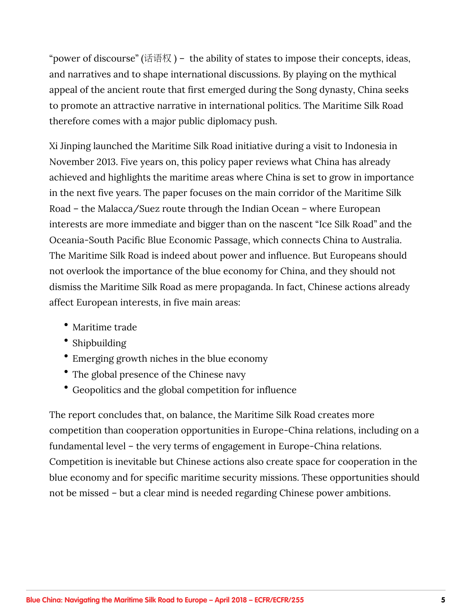"power of discourse" (话语权) - the ability of states to impose their concepts, ideas, and narratives and to shape international discussions. By playing on the mythical appeal of the ancient route that first emerged during the Song dynasty, China seeks to promote an attractive narrative in international politics. The Maritime Silk Road therefore comes with a major public diplomacy push.

Xi Jinping launched the Maritime Silk Road initiative during a visit to Indonesia in November 2013. Five years on, this policy paper reviews what China has already achieved and highlights the maritime areas where China is set to grow in importance in the next five years. The paper focuses on the main corridor of the Maritime Silk Road – the Malacca/Suez route through the Indian Ocean – where European interests are more immediate and bigger than on the nascent "Ice Silk Road" and the Oceania-South Pacific Blue Economic Passage, which connects China to Australia. The Maritime Silk Road is indeed about power and influence. But Europeans should not overlook the importance of the blue economy for China, and they should not dismiss the Maritime Silk Road as mere propaganda. In fact, Chinese actions already affect European interests, in five main areas:

- Maritime trade
- Shipbuilding
- Emerging growth niches in the blue economy
- The global presence of the Chinese navy
- Geopolitics and the global competition for influence

The report concludes that, on balance, the Maritime Silk Road creates more competition than cooperation opportunities in Europe-China relations, including on a fundamental level – the very terms of engagement in Europe-China relations. Competition is inevitable but Chinese actions also create space for cooperation in the blue economy and for specific maritime security missions. These opportunities should not be missed – but a clear mind is needed regarding Chinese power ambitions.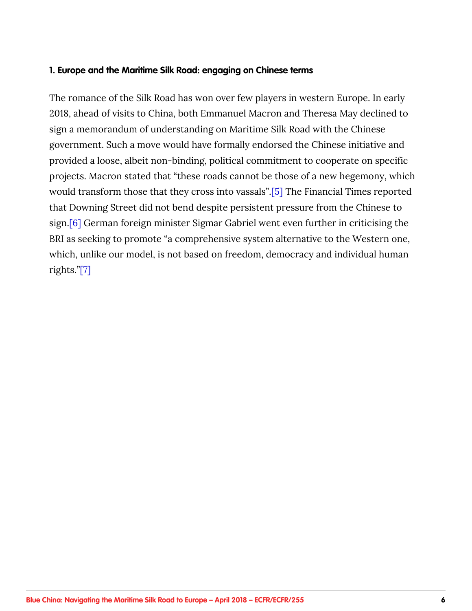#### <span id="page-5-0"></span>**1. Europe and the Maritime Silk Road: engaging on Chinese terms**

The romance of the Silk Road has won over few players in western Europe. In early 2018, ahead of visits to China, both Emmanuel Macron and Theresa May declined to sign a memorandum of understanding on Maritime Silk Road with the Chinese government. Such a move would have formally endorsed the Chinese initiative and provided a loose, albeit non-binding, political commitment to cooperate on specific projects. Macron stated that "these roads cannot be those of a new hegemony, which would transform those that they cross into vassals"[.\[5\]](#page-41-0) The Financial Times reported that Downing Street did not bend despite persistent pressure from the Chinese to sign.[\[6\]](#page-41-0) German foreign minister Sigmar Gabriel went even further in criticising the BRI as seeking to promote "a comprehensive system alternative to the Western one, which, unlike our model, is not based on freedom, democracy and individual human rights."[\[7\]](#page-41-0)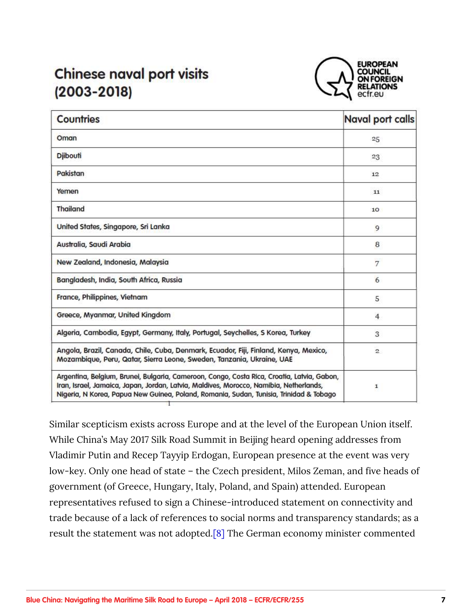## <span id="page-6-0"></span>**Chinese naval port visits**  $(2003 - 2018)$



| <b>Countries</b>                                                                                                                                                                                                                                                               | <b>Naval port calls</b> |
|--------------------------------------------------------------------------------------------------------------------------------------------------------------------------------------------------------------------------------------------------------------------------------|-------------------------|
| Oman                                                                                                                                                                                                                                                                           | 25                      |
| <b>Djibouti</b>                                                                                                                                                                                                                                                                | 23                      |
| Pakistan                                                                                                                                                                                                                                                                       | 12                      |
| Yemen                                                                                                                                                                                                                                                                          | 11                      |
| <b>Thailand</b>                                                                                                                                                                                                                                                                | 10                      |
| United States, Singapore, Sri Lanka                                                                                                                                                                                                                                            | 9                       |
| Australia, Saudi Arabia                                                                                                                                                                                                                                                        | 8                       |
| New Zealand, Indonesia, Malaysia                                                                                                                                                                                                                                               | 7                       |
| Bangladesh, India, South Africa, Russia                                                                                                                                                                                                                                        | 6                       |
| France, Philippines, Vietnam                                                                                                                                                                                                                                                   | 5                       |
| Greece, Myanmar, United Kingdom                                                                                                                                                                                                                                                | $\overline{4}$          |
| Algeria, Cambodia, Egypt, Germany, Italy, Portugal, Seychelles, S Korea, Turkey                                                                                                                                                                                                | 3                       |
| Angola, Brazil, Canada, Chile, Cuba, Denmark, Ecuador, Fiji, Finland, Kenya, Mexico,<br>Mozambique, Peru, Qatar, Sierra Leone, Sweden, Tanzania, Ukraine, UAE                                                                                                                  | $\overline{2}$          |
| Argentina, Belgium, Brunei, Bulgaria, Cameroon, Congo, Costa Rica, Croatia, Latvia, Gabon,<br>Iran, Israel, Jamaica, Japan, Jordan, Latvia, Maldives, Morocco, Namibia, Netherlands,<br>Nigeria, N Korea, Papua New Guinea, Poland, Romania, Sudan, Tunisia, Trinidad & Tobago | $\mathbf{1}$            |

Similar scepticism exists across Europe and at the level of the European Union itself. While China's May 2017 Silk Road Summit in Beijing heard opening addresses from Vladimir Putin and Recep Tayyip Erdogan, European presence at the event was very low-key. Only one head of state – the Czech president, Milos Zeman, and five heads of government (of Greece, Hungary, Italy, Poland, and Spain) attended. European representatives refused to sign a Chinese-introduced statement on connectivity and trade because of a lack of references to social norms and transparency standards; as a result the statement was not adopted[.\[8\]](#page-41-0) The German economy minister commented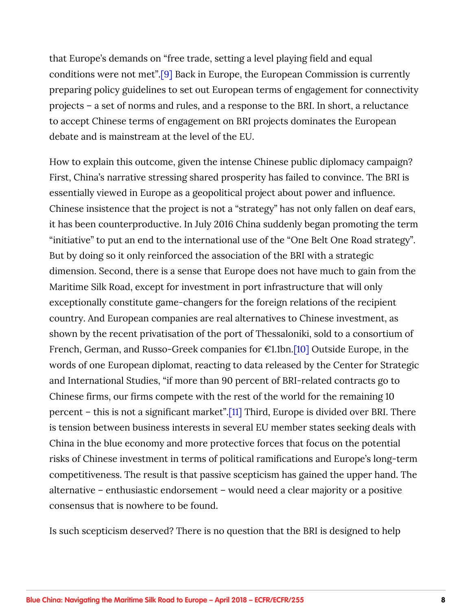<span id="page-7-0"></span>that Europe's demands on "free trade, setting a level playing field and equal conditions were not met"[.\[9\]](#page-42-0) Back in Europe, the European Commission is currently preparing policy guidelines to set out European terms of engagement for connectivity projects – a set of norms and rules, and a response to the BRI. In short, a reluctance to accept Chinese terms of engagement on BRI projects dominates the European debate and is mainstream at the level of the EU.

How to explain this outcome, given the intense Chinese public diplomacy campaign? First, China's narrative stressing shared prosperity has failed to convince. The BRI is essentially viewed in Europe as a geopolitical project about power and influence. Chinese insistence that the project is not a "strategy" has not only fallen on deaf ears, it has been counterproductive. In July 2016 China suddenly began promoting the term "initiative" to put an end to the international use of the "One Belt One Road strategy". But by doing so it only reinforced the association of the BRI with a strategic dimension. Second, there is a sense that Europe does not have much to gain from the Maritime Silk Road, except for investment in port infrastructure that will only exceptionally constitute game-changers for the foreign relations of the recipient country. And European companies are real alternatives to Chinese investment, as shown by the recent privatisation of the port of Thessaloniki, sold to a consortium of French, German, and Russo-Greek companies for  $\epsilon$ 1.1bn.[\[10\]](#page-42-0) Outside Europe, in the words of one European diplomat, reacting to data released by the Center for Strategic and International Studies, "if more than 90 percent of BRI-related contracts go to Chinese firms, our firms compete with the rest of the world for the remaining 10 percent – this is not a significant market".[\[11\]](#page-42-0) Third, Europe is divided over BRI. There is tension between business interests in several EU member states seeking deals with China in the blue economy and more protective forces that focus on the potential risks of Chinese investment in terms of political ramifications and Europe's long-term competitiveness. The result is that passive scepticism has gained the upper hand. The alternative – enthusiastic endorsement – would need a clear majority or a positive consensus that is nowhere to be found.

Is such scepticism deserved? There is no question that the BRI is designed to help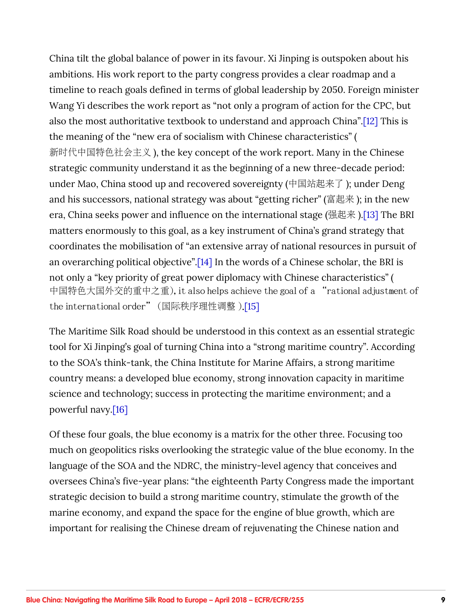<span id="page-8-0"></span>China tilt the global balance of power in its favour. Xi Jinping is outspoken about his ambitions. His work report to the party congress provides a clear roadmap and a timeline to reach goals defined in terms of global leadership by 2050. Foreign minister Wang Yi describes the work report as "not only a program of action for the CPC, but also the most authoritative textbook to understand and approach China"[.\[12\]](#page-42-0) This is the meaning of the "new era of socialism with Chinese characteristics" ( 新时代中国特色社会主义), the key concept of the work report. Many in the Chinese strategic community understand it as the beginning of a new three-decade period: under Mao, China stood up and recovered sovereignty (中国站起来了); under Deng and his successors, national strategy was about "getting richer" (富起来); in the new era, China seeks power and influence on the international stage (强起来)[.\[13\]](#page-42-0) The BRI matters enormously to this goal, as a key instrument of China's grand strategy that coordinates the mobilisation of "an extensive array of national resources in pursuit of an overarching political objective".[\[14\]](#page-42-0) In the words of a Chinese scholar, the BRI is not only a "key priority of great power diplomacy with Chinese characteristics" ( 中国特色大国外交的重中之重), it also helps achieve the goal of a "rational adjustment of the international order" (国际秩序理性调整).[\[15\]](#page-42-0)

The Maritime Silk Road should be understood in this context as an essential strategic tool for Xi Jinping's goal of turning China into a "strong maritime country". According to the SOA's think-tank, the China Institute for Marine Affairs, a strong maritime country means: a developed blue economy, strong innovation capacity in maritime science and technology; success in protecting the maritime environment; and a powerful navy.[\[16\]](#page-42-0)

Of these four goals, the blue economy is a matrix for the other three. Focusing too much on geopolitics risks overlooking the strategic value of the blue economy. In the language of the SOA and the NDRC, the ministry-level agency that conceives and oversees China's five-year plans: "the eighteenth Party Congress made the important strategic decision to build a strong maritime country, stimulate the growth of the marine economy, and expand the space for the engine of blue growth, which are important for realising the Chinese dream of rejuvenating the Chinese nation and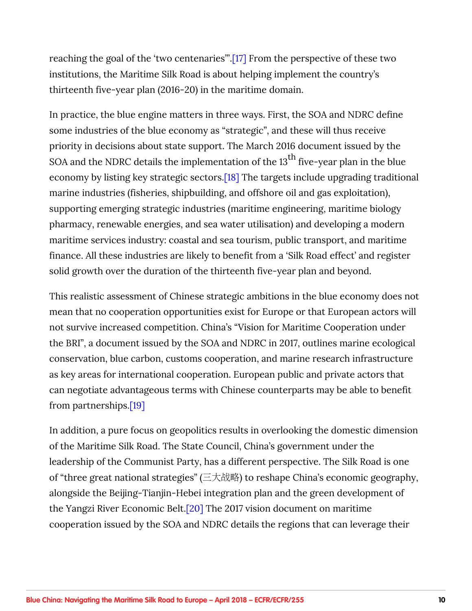<span id="page-9-0"></span>reaching the goal of the 'two centenaries'"[.\[17\]](#page-43-0) From the perspective of these two institutions, the Maritime Silk Road is about helping implement the country's thirteenth five-year plan (2016-20) in the maritime domain.

In practice, the blue engine matters in three ways. First, the SOA and NDRC define some industries of the blue economy as "strategic", and these will thus receive priority in decisions about state support. The March 2016 document issued by the SOA and the NDRC details the implementation of the  $13<sup>th</sup>$  five-year plan in the blue economy by listing key strategic sectors.[\[18\]](#page-43-0) The targets include upgrading traditional marine industries (fisheries, shipbuilding, and offshore oil and gas exploitation), supporting emerging strategic industries (maritime engineering, maritime biology pharmacy, renewable energies, and sea water utilisation) and developing a modern maritime services industry: coastal and sea tourism, public transport, and maritime finance. All these industries are likely to benefit from a 'Silk Road effect' and register solid growth over the duration of the thirteenth five-year plan and beyond.

This realistic assessment of Chinese strategic ambitions in the blue economy does not mean that no cooperation opportunities exist for Europe or that European actors will not survive increased competition. China's "Vision for Maritime Cooperation under the BRI", a document issued by the SOA and NDRC in 2017, outlines marine ecological conservation, blue carbon, customs cooperation, and marine research infrastructure as key areas for international cooperation. European public and private actors that can negotiate advantageous terms with Chinese counterparts may be able to benefit from partnerships[.\[19\]](#page-43-0)

In addition, a pure focus on geopolitics results in overlooking the domestic dimension of the Maritime Silk Road. The State Council, China's government under the leadership of the Communist Party, has a different perspective. The Silk Road is one of "three great national strategies" (三大战略) to reshape China's economic geography, alongside the Beijing-Tianjin-Hebei integration plan and the green development of the Yangzi River Economic Belt[.\[20\]](#page-43-0) The 2017 vision document on maritime cooperation issued by the SOA and NDRC details the regions that can leverage their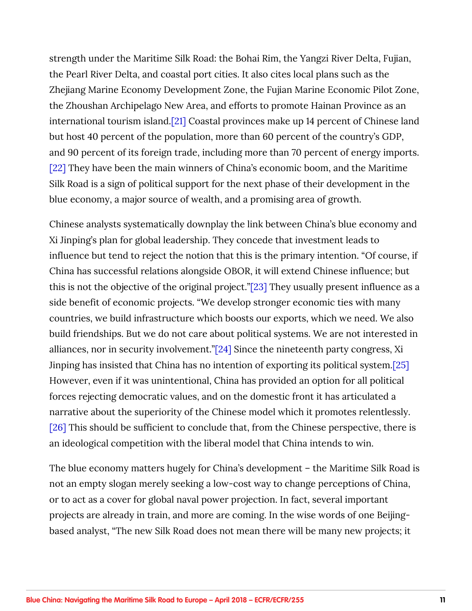<span id="page-10-0"></span>strength under the Maritime Silk Road: the Bohai Rim, the Yangzi River Delta, Fujian, the Pearl River Delta, and coastal port cities. It also cites local plans such as the Zhejiang Marine Economy Development Zone, the Fujian Marine Economic Pilot Zone, the Zhoushan Archipelago New Area, and efforts to promote Hainan Province as an international tourism island[.\[21\]](#page-43-0) Coastal provinces make up 14 percent of Chinese land but host 40 percent of the population, more than 60 percent of the country's GDP, and 90 percent of its foreign trade, including more than 70 percent of energy imports. [\[22\]](#page-43-0) They have been the main winners of China's economic boom, and the Maritime Silk Road is a sign of political support for the next phase of their development in the blue economy, a major source of wealth, and a promising area of growth.

Chinese analysts systematically downplay the link between China's blue economy and Xi Jinping's plan for global leadership. They concede that investment leads to influence but tend to reject the notion that this is the primary intention. "Of course, if China has successful relations alongside OBOR, it will extend Chinese influence; but this is not the objective of the original project."[\[23\]](#page-44-0) They usually present influence as a side benefit of economic projects. "We develop stronger economic ties with many countries, we build infrastructure which boosts our exports, which we need. We also build friendships. But we do not care about political systems. We are not interested in alliances, nor in security involvement."[\[24\]](#page-44-0) Since the nineteenth party congress, Xi Jinping has insisted that China has no intention of exporting its political system[.\[25\]](#page-44-0) However, even if it was unintentional, China has provided an option for all political forces rejecting democratic values, and on the domestic front it has articulated a narrative about the superiority of the Chinese model which it promotes relentlessly. [\[26\]](#page-44-0) This should be sufficient to conclude that, from the Chinese perspective, there is an ideological competition with the liberal model that China intends to win.

The blue economy matters hugely for China's development – the Maritime Silk Road is not an empty slogan merely seeking a low-cost way to change perceptions of China, or to act as a cover for global naval power projection. In fact, several important projects are already in train, and more are coming. In the wise words of one Beijingbased analyst, "The new Silk Road does not mean there will be many new projects; it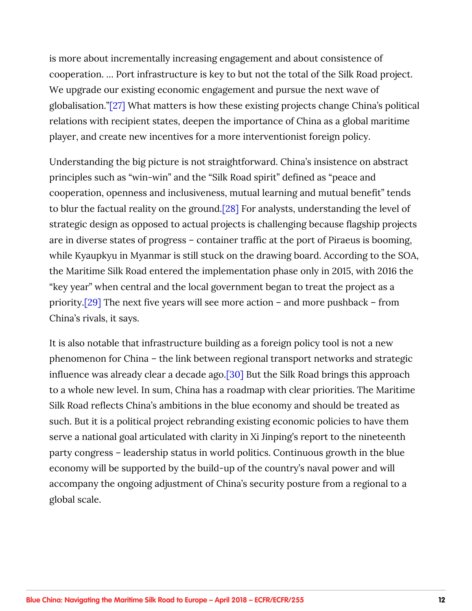<span id="page-11-0"></span>is more about incrementally increasing engagement and about consistence of cooperation. … Port infrastructure is key to but not the total of the Silk Road project. We upgrade our existing economic engagement and pursue the next wave of globalisation."[\[27\]](#page-44-0) What matters is how these existing projects change China's political relations with recipient states, deepen the importance of China as a global maritime player, and create new incentives for a more interventionist foreign policy.

Understanding the big picture is not straightforward. China's insistence on abstract principles such as "win-win" and the "Silk Road spirit" defined as "peace and cooperation, openness and inclusiveness, mutual learning and mutual benefit" tends to blur the factual reality on the ground[.\[28\]](#page-44-0) For analysts, understanding the level of strategic design as opposed to actual projects is challenging because flagship projects are in diverse states of progress – container traffic at the port of Piraeus is booming, while Kyaupkyu in Myanmar is still stuck on the drawing board. According to the SOA, the Maritime Silk Road entered the implementation phase only in 2015, with 2016 the "key year" when central and the local government began to treat the project as a priority[.\[29\]](#page-44-0) The next five years will see more action – and more pushback – from China's rivals, it says.

It is also notable that infrastructure building as a foreign policy tool is not a new phenomenon for China – the link between regional transport networks and strategic influence was already clear a decade ago[.\[30\]](#page-44-0) But the Silk Road brings this approach to a whole new level. In sum, China has a roadmap with clear priorities. The Maritime Silk Road reflects China's ambitions in the blue economy and should be treated as such. But it is a political project rebranding existing economic policies to have them serve a national goal articulated with clarity in Xi Jinping's report to the nineteenth party congress – leadership status in world politics. Continuous growth in the blue economy will be supported by the build-up of the country's naval power and will accompany the ongoing adjustment of China's security posture from a regional to a global scale.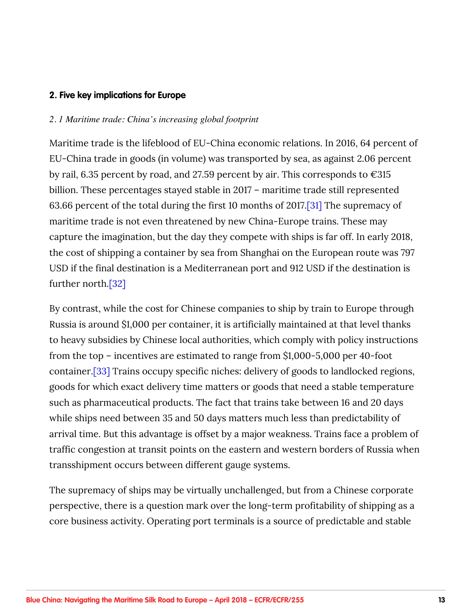#### <span id="page-12-0"></span>**2. Five key implications for Europe**

#### *2. 1 Maritime trade: China's increasing global footprint*

Maritime trade is the lifeblood of EU-China economic relations. In 2016, 64 percent of EU-China trade in goods (in volume) was transported by sea, as against 2.06 percent by rail, 6.35 percent by road, and 27.59 percent by air. This corresponds to  $\epsilon$ 315 billion. These percentages stayed stable in 2017 – maritime trade still represented 63.66 percent of the total during the first 10 months of 2017[.\[31\]](#page-44-0) The supremacy of maritime trade is not even threatened by new China-Europe trains. These may capture the imagination, but the day they compete with ships is far off. In early 2018, the cost of shipping a container by sea from Shanghai on the European route was 797 USD if the final destination is a Mediterranean port and 912 USD if the destination is further north[.\[32\]](#page-44-0)

By contrast, while the cost for Chinese companies to ship by train to Europe through Russia is around \$1,000 per container, it is artificially maintained at that level thanks to heavy subsidies by Chinese local authorities, which comply with policy instructions from the top – incentives are estimated to range from \$1,000-5,000 per 40-foot container.[\[33\]](#page-45-0) Trains occupy specific niches: delivery of goods to landlocked regions, goods for which exact delivery time matters or goods that need a stable temperature such as pharmaceutical products. The fact that trains take between 16 and 20 days while ships need between 35 and 50 days matters much less than predictability of arrival time. But this advantage is offset by a major weakness. Trains face a problem of traffic congestion at transit points on the eastern and western borders of Russia when transshipment occurs between different gauge systems.

The supremacy of ships may be virtually unchallenged, but from a Chinese corporate perspective, there is a question mark over the long-term profitability of shipping as a core business activity. Operating port terminals is a source of predictable and stable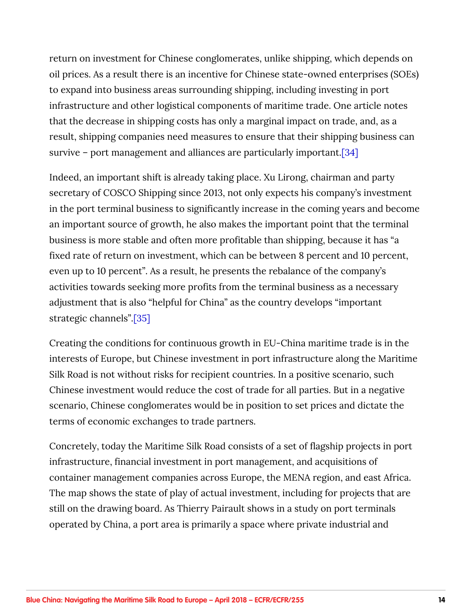<span id="page-13-0"></span>return on investment for Chinese conglomerates, unlike shipping, which depends on oil prices. As a result there is an incentive for Chinese state-owned enterprises (SOEs) to expand into business areas surrounding shipping, including investing in port infrastructure and other logistical components of maritime trade. One article notes that the decrease in shipping costs has only a marginal impact on trade, and, as a result, shipping companies need measures to ensure that their shipping business can survive – port management and alliances are particularly important[.\[34\]](#page-45-0)

Indeed, an important shift is already taking place. Xu Lirong, chairman and party secretary of COSCO Shipping since 2013, not only expects his company's investment in the port terminal business to significantly increase in the coming years and become an important source of growth, he also makes the important point that the terminal business is more stable and often more profitable than shipping, because it has "a fixed rate of return on investment, which can be between 8 percent and 10 percent, even up to 10 percent". As a result, he presents the rebalance of the company's activities towards seeking more profits from the terminal business as a necessary adjustment that is also "helpful for China" as the country develops "important strategic channels"[.\[35\]](#page-45-0)

Creating the conditions for continuous growth in EU-China maritime trade is in the interests of Europe, but Chinese investment in port infrastructure along the Maritime Silk Road is not without risks for recipient countries. In a positive scenario, such Chinese investment would reduce the cost of trade for all parties. But in a negative scenario, Chinese conglomerates would be in position to set prices and dictate the terms of economic exchanges to trade partners.

Concretely, today the Maritime Silk Road consists of a set of flagship projects in port infrastructure, financial investment in port management, and acquisitions of container management companies across Europe, the MENA region, and east Africa. The map shows the state of play of actual investment, including for projects that are still on the drawing board. As Thierry Pairault shows in a study on port terminals operated by China, a port area is primarily a space where private industrial and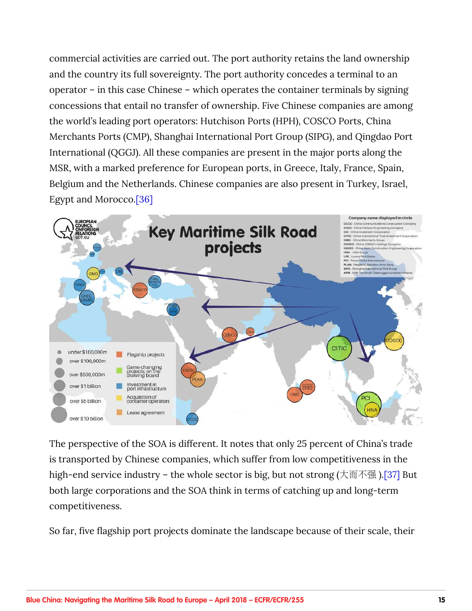<span id="page-14-0"></span>commercial activities are carried out. The port authority retains the land ownership and the country its full sovereignty. The port authority concedes a terminal to an operator – in this case Chinese – which operates the container terminals by signing concessions that entail no transfer of ownership. Five Chinese companies are among the world's leading port operators: Hutchison Ports (HPH), COSCO Ports, China Merchants Ports (CMP), Shanghai International Port Group (SIPG), and Qingdao Port International (QGGJ). All these companies are present in the major ports along the MSR, with a marked preference for European ports, in Greece, Italy, France, Spain, Belgium and the Netherlands. Chinese companies are also present in Turkey, Israel, Egypt and Morocco[.\[36\]](#page-45-0)



The perspective of the SOA is different. It notes that only 25 percent of China's trade is transported by Chinese companies, which suffer from low competitiveness in the high-end service industry – the whole sector is big, but not strong (大而不强)[.\[37\]](#page-45-0) But both large corporations and the SOA think in terms of catching up and long-term competitiveness.

So far, five flagship port projects dominate the landscape because of their scale, their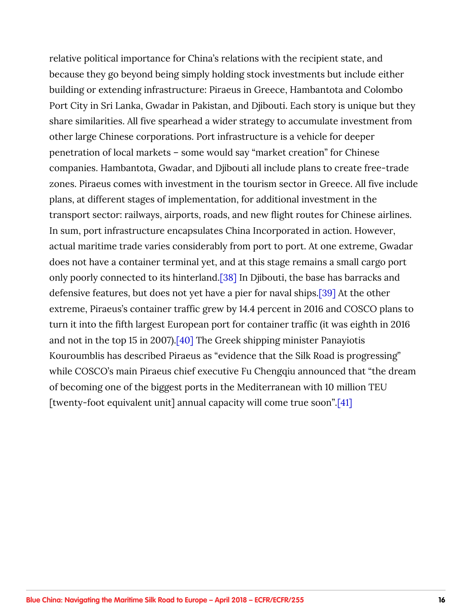<span id="page-15-0"></span>relative political importance for China's relations with the recipient state, and because they go beyond being simply holding stock investments but include either building or extending infrastructure: Piraeus in Greece, Hambantota and Colombo Port City in Sri Lanka, Gwadar in Pakistan, and Djibouti. Each story is unique but they share similarities. All five spearhead a wider strategy to accumulate investment from other large Chinese corporations. Port infrastructure is a vehicle for deeper penetration of local markets – some would say "market creation" for Chinese companies. Hambantota, Gwadar, and Djibouti all include plans to create free-trade zones. Piraeus comes with investment in the tourism sector in Greece. All five include plans, at different stages of implementation, for additional investment in the transport sector: railways, airports, roads, and new flight routes for Chinese airlines. In sum, port infrastructure encapsulates China Incorporated in action. However, actual maritime trade varies considerably from port to port. At one extreme, Gwadar does not have a container terminal yet, and at this stage remains a small cargo port only poorly connected to its hinterland[.\[38\]](#page-45-0) In Djibouti, the base has barracks and defensive features, but does not yet have a pier for naval ships.[\[39\]](#page-46-0) At the other extreme, Piraeus's container traffic grew by 14.4 percent in 2016 and COSCO plans to turn it into the fifth largest European port for container traffic (it was eighth in 2016 and not in the top 15 in 2007).[\[40\]](#page-46-0) The Greek shipping minister Panayiotis Kouroumblis has described Piraeus as "evidence that the Silk Road is progressing" while COSCO's main Piraeus chief executive Fu Chengqiu announced that "the dream of becoming one of the biggest ports in the Mediterranean with 10 million TEU [twenty-foot equivalent unit] annual capacity will come true soon".[\[41\]](#page-46-0)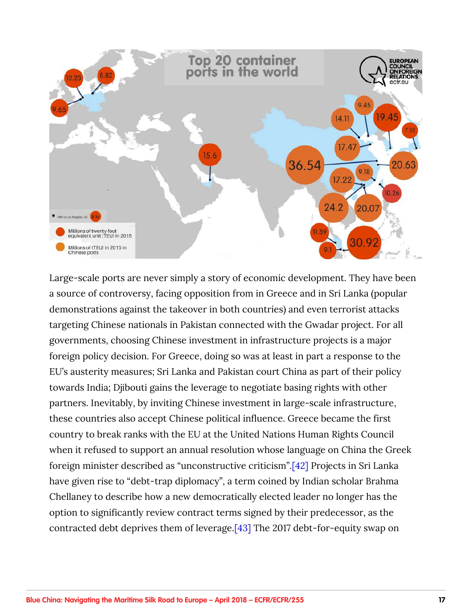<span id="page-16-0"></span>

Large-scale ports are never simply a story of economic development. They have been a source of controversy, facing opposition from in Greece and in Sri Lanka (popular demonstrations against the takeover in both countries) and even terrorist attacks targeting Chinese nationals in Pakistan connected with the Gwadar project. For all governments, choosing Chinese investment in infrastructure projects is a major foreign policy decision. For Greece, doing so was at least in part a response to the EU's austerity measures; Sri Lanka and Pakistan court China as part of their policy towards India; Djibouti gains the leverage to negotiate basing rights with other partners. Inevitably, by inviting Chinese investment in large-scale infrastructure, these countries also accept Chinese political influence. Greece became the first country to break ranks with the EU at the United Nations Human Rights Council when it refused to support an annual resolution whose language on China the Greek foreign minister described as "unconstructive criticism".[\[42\]](#page-46-0) Projects in Sri Lanka have given rise to "debt-trap diplomacy", a term coined by Indian scholar Brahma Chellaney to describe how a new democratically elected leader no longer has the option to significantly review contract terms signed by their predecessor, as the contracted debt deprives them of leverage[.\[43\]](#page-46-0) The 2017 debt-for-equity swap on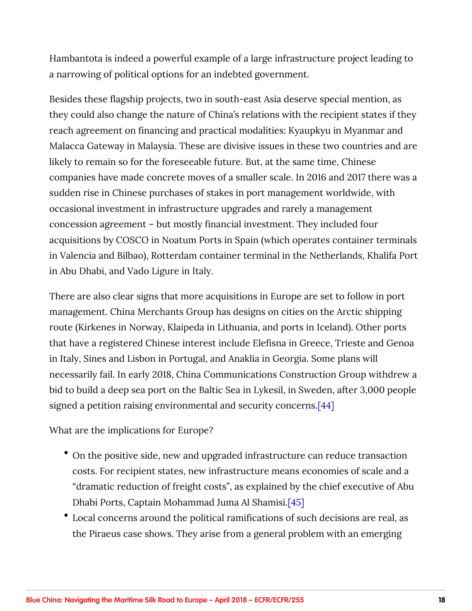<span id="page-17-0"></span>Hambantota is indeed a powerful example of a large infrastructure project leading to a narrowing of political options for an indebted government.

Besides these flagship projects, two in south-east Asia deserve special mention, as they could also change the nature of China's relations with the recipient states if they reach agreement on financing and practical modalities: Kyaupkyu in Myanmar and Malacca Gateway in Malaysia. These are divisive issues in these two countries and are likely to remain so for the foreseeable future. But, at the same time, Chinese companies have made concrete moves of a smaller scale. In 2016 and 2017 there was a sudden rise in Chinese purchases of stakes in port management worldwide, with occasional investment in infrastructure upgrades and rarely a management concession agreement – but mostly financial investment. They included four acquisitions by COSCO in Noatum Ports in Spain (which operates container terminals in Valencia and Bilbao), Rotterdam container terminal in the Netherlands, Khalifa Port in Abu Dhabi, and Vado Ligure in Italy.

There are also clear signs that more acquisitions in Europe are set to follow in port management. China Merchants Group has designs on cities on the Arctic shipping route (Kirkenes in Norway, Klaipeda in Lithuania, and ports in Iceland). Other ports that have a registered Chinese interest include Elefisna in Greece, Trieste and Genoa in Italy, Sines and Lisbon in Portugal, and Anaklia in Georgia. Some plans will necessarily fail. In early 2018, China Communications Construction Group withdrew a bid to build a deep sea port on the Baltic Sea in Lykesil, in Sweden, after 3,000 people signed a petition raising environmental and security concerns[.\[44\]](#page-46-0)

What are the implications for Europe?

- On the positive side, new and upgraded infrastructure can reduce transaction costs. For recipient states, new infrastructure means economies of scale and a "dramatic reduction of freight costs", as explained by the chief executive of Abu Dhabi Ports, Captain Mohammad Juma Al Shamisi[.\[45\]](#page-46-0)
- Local concerns around the political ramifications of such decisions are real, as the Piraeus case shows. They arise from a general problem with an emerging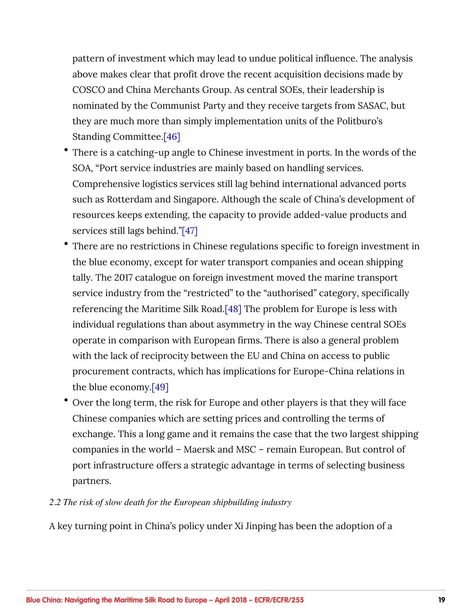<span id="page-18-0"></span>pattern of investment which may lead to undue political influence. The analysis above makes clear that profit drove the recent acquisition decisions made by COSCO and China Merchants Group. As central SOEs, their leadership is nominated by the Communist Party and they receive targets from SASAC, but they are much more than simply implementation units of the Politburo's Standing Committee[.\[46\]](#page-47-0)

- There is a catching-up angle to Chinese investment in ports. In the words of the SOA, "Port service industries are mainly based on handling services. Comprehensive logistics services still lag behind international advanced ports such as Rotterdam and Singapore. Although the scale of China's development of resources keeps extending, the capacity to provide added-value products and services still lags behind.["\[47\]](#page-47-0)
- There are no restrictions in Chinese regulations specific to foreign investment in the blue economy, except for water transport companies and ocean shipping tally. The 2017 catalogue on foreign investment moved the marine transport service industry from the "restricted" to the "authorised" category, specifically referencing the Maritime Silk Road.[\[48\]](#page-47-0) The problem for Europe is less with individual regulations than about asymmetry in the way Chinese central SOEs operate in comparison with European firms. There is also a general problem with the lack of reciprocity between the EU and China on access to public procurement contracts, which has implications for Europe-China relations in the blue economy.[\[49\]](#page-47-0)
- Over the long term, the risk for Europe and other players is that they will face Chinese companies which are setting prices and controlling the terms of exchange. This a long game and it remains the case that the two largest shipping companies in the world – Maersk and MSC – remain European. But control of port infrastructure offers a strategic advantage in terms of selecting business partners.

#### *2.2 The risk of slow death for the European shipbuilding industry*

A key turning point in China's policy under Xi Jinping has been the adoption of a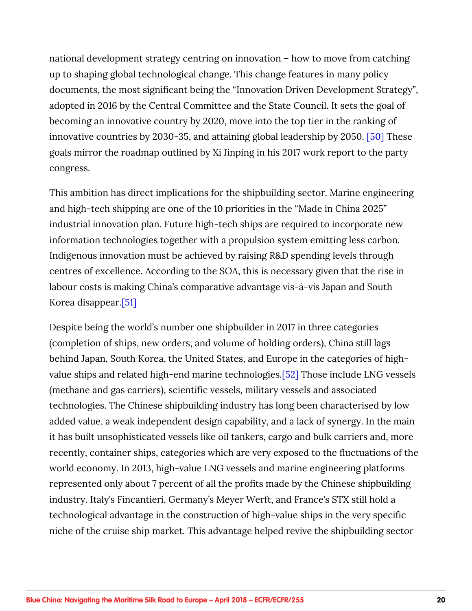<span id="page-19-0"></span>national development strategy centring on innovation – how to move from catching up to shaping global technological change. This change features in many policy documents, the most significant being the "Innovation Driven Development Strategy", adopted in 2016 by the Central Committee and the State Council. It sets the goal of becoming an innovative country by 2020, move into the top tier in the ranking of innovative countries by 2030-35, and attaining global leadership by 2050. [\[50\]](#page-47-0) These goals mirror the roadmap outlined by Xi Jinping in his 2017 work report to the party congress.

This ambition has direct implications for the shipbuilding sector. Marine engineering and high-tech shipping are one of the 10 priorities in the "Made in China 2025" industrial innovation plan. Future high-tech ships are required to incorporate new information technologies together with a propulsion system emitting less carbon. Indigenous innovation must be achieved by raising R&D spending levels through centres of excellence. According to the SOA, this is necessary given that the rise in labour costs is making China's comparative advantage vis-à-vis Japan and South Korea disappear.[\[51\]](#page-47-0)

Despite being the world's number one shipbuilder in 2017 in three categories (completion of ships, new orders, and volume of holding orders), China still lags behind Japan, South Korea, the United States, and Europe in the categories of highvalue ships and related high-end marine technologies.[\[52\]](#page-47-0) Those include LNG vessels (methane and gas carriers), scientific vessels, military vessels and associated technologies. The Chinese shipbuilding industry has long been characterised by low added value, a weak independent design capability, and a lack of synergy. In the main it has built unsophisticated vessels like oil tankers, cargo and bulk carriers and, more recently, container ships, categories which are very exposed to the fluctuations of the world economy. In 2013, high-value LNG vessels and marine engineering platforms represented only about 7 percent of all the profits made by the Chinese shipbuilding industry. Italy's Fincantieri, Germany's Meyer Werft, and France's STX still hold a technological advantage in the construction of high-value ships in the very specific niche of the cruise ship market. This advantage helped revive the shipbuilding sector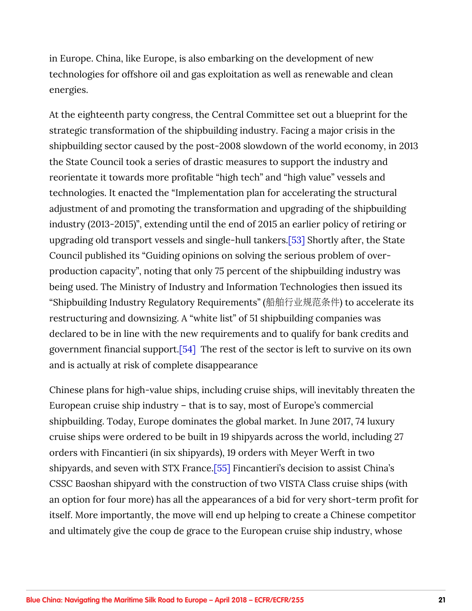<span id="page-20-0"></span>in Europe. China, like Europe, is also embarking on the development of new technologies for offshore oil and gas exploitation as well as renewable and clean energies.

At the eighteenth party congress, the Central Committee set out a blueprint for the strategic transformation of the shipbuilding industry. Facing a major crisis in the shipbuilding sector caused by the post-2008 slowdown of the world economy, in 2013 the State Council took a series of drastic measures to support the industry and reorientate it towards more profitable "high tech" and "high value" vessels and technologies. It enacted the "Implementation plan for accelerating the structural adjustment of and promoting the transformation and upgrading of the shipbuilding industry (2013-2015)", extending until the end of 2015 an earlier policy of retiring or upgrading old transport vessels and single-hull tankers.[\[53\]](#page-48-0) Shortly after, the State Council published its "Guiding opinions on solving the serious problem of overproduction capacity", noting that only 75 percent of the shipbuilding industry was being used. The Ministry of Industry and Information Technologies then issued its "Shipbuilding Industry Regulatory Requirements" (船舶行业规范条件) to accelerate its restructuring and downsizing. A "white list" of 51 shipbuilding companies was declared to be in line with the new requirements and to qualify for bank credits and government financial support[.\[54\]](#page-48-0) The rest of the sector is left to survive on its own and is actually at risk of complete disappearance

Chinese plans for high-value ships, including cruise ships, will inevitably threaten the European cruise ship industry – that is to say, most of Europe's commercial shipbuilding. Today, Europe dominates the global market. In June 2017, 74 luxury cruise ships were ordered to be built in 19 shipyards across the world, including 27 orders with Fincantieri (in six shipyards), 19 orders with Meyer Werft in two shipyards, and seven with STX France[.\[55\]](#page-48-0) Fincantieri's decision to assist China's CSSC Baoshan shipyard with the construction of two VISTA Class cruise ships (with an option for four more) has all the appearances of a bid for very short-term profit for itself. More importantly, the move will end up helping to create a Chinese competitor and ultimately give the coup de grace to the European cruise ship industry, whose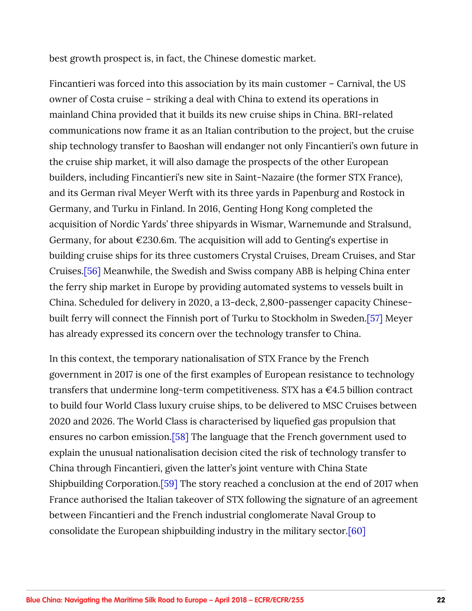<span id="page-21-0"></span>best growth prospect is, in fact, the Chinese domestic market.

Fincantieri was forced into this association by its main customer – Carnival, the US owner of Costa cruise – striking a deal with China to extend its operations in mainland China provided that it builds its new cruise ships in China. BRI-related communications now frame it as an Italian contribution to the project, but the cruise ship technology transfer to Baoshan will endanger not only Fincantieri's own future in the cruise ship market, it will also damage the prospects of the other European builders, including Fincantieri's new site in Saint-Nazaire (the former STX France), and its German rival Meyer Werft with its three yards in Papenburg and Rostock in Germany, and Turku in Finland. In 2016, Genting Hong Kong completed the acquisition of Nordic Yards' three shipyards in Wismar, Warnemunde and Stralsund, Germany, for about  $\epsilon$ 230.6m. The acquisition will add to Genting's expertise in building cruise ships for its three customers Crystal Cruises, Dream Cruises, and Star Cruises.[\[56\]](#page-48-0) Meanwhile, the Swedish and Swiss company ABB is helping China enter the ferry ship market in Europe by providing automated systems to vessels built in China. Scheduled for delivery in 2020, a 13-deck, 2,800-passenger capacity Chinesebuilt ferry will connect the Finnish port of Turku to Stockholm in Sweden.[\[57\]](#page-48-0) Meyer has already expressed its concern over the technology transfer to China.

In this context, the temporary nationalisation of STX France by the French government in 2017 is one of the first examples of European resistance to technology transfers that undermine long-term competitiveness. STX has a  $\epsilon$ 4.5 billion contract to build four World Class luxury cruise ships, to be delivered to MSC Cruises between 2020 and 2026. The World Class is characterised by liquefied gas propulsion that ensures no carbon emission.[\[58\]](#page-48-0) The language that the French government used to explain the unusual nationalisation decision cited the risk of technology transfer to China through Fincantieri, given the latter's joint venture with China State Shipbuilding Corporation[.\[59\]](#page-49-0) The story reached a conclusion at the end of 2017 when France authorised the Italian takeover of STX following the signature of an agreement between Fincantieri and the French industrial conglomerate Naval Group to consolidate the European shipbuilding industry in the military sector.[\[60\]](#page-49-0)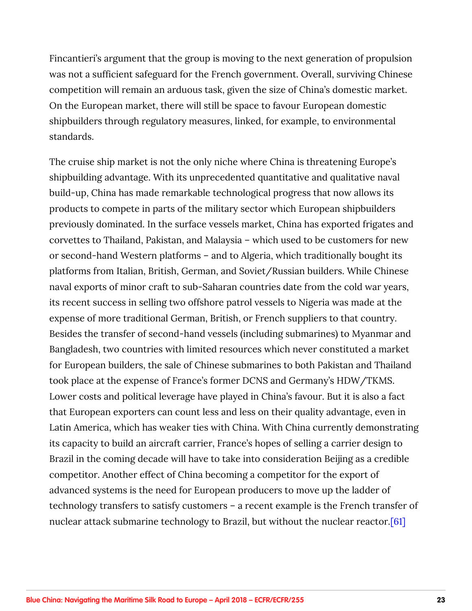<span id="page-22-0"></span>Fincantieri's argument that the group is moving to the next generation of propulsion was not a sufficient safeguard for the French government. Overall, surviving Chinese competition will remain an arduous task, given the size of China's domestic market. On the European market, there will still be space to favour European domestic shipbuilders through regulatory measures, linked, for example, to environmental standards.

The cruise ship market is not the only niche where China is threatening Europe's shipbuilding advantage. With its unprecedented quantitative and qualitative naval build-up, China has made remarkable technological progress that now allows its products to compete in parts of the military sector which European shipbuilders previously dominated. In the surface vessels market, China has exported frigates and corvettes to Thailand, Pakistan, and Malaysia – which used to be customers for new or second-hand Western platforms – and to Algeria, which traditionally bought its platforms from Italian, British, German, and Soviet/Russian builders. While Chinese naval exports of minor craft to sub-Saharan countries date from the cold war years, its recent success in selling two offshore patrol vessels to Nigeria was made at the expense of more traditional German, British, or French suppliers to that country. Besides the transfer of second-hand vessels (including submarines) to Myanmar and Bangladesh, two countries with limited resources which never constituted a market for European builders, the sale of Chinese submarines to both Pakistan and Thailand took place at the expense of France's former DCNS and Germany's HDW/TKMS. Lower costs and political leverage have played in China's favour. But it is also a fact that European exporters can count less and less on their quality advantage, even in Latin America, which has weaker ties with China. With China currently demonstrating its capacity to build an aircraft carrier, France's hopes of selling a carrier design to Brazil in the coming decade will have to take into consideration Beijing as a credible competitor. Another effect of China becoming a competitor for the export of advanced systems is the need for European producers to move up the ladder of technology transfers to satisfy customers – a recent example is the French transfer of nuclear attack submarine technology to Brazil, but without the nuclear reactor.<sup>[61]</sup>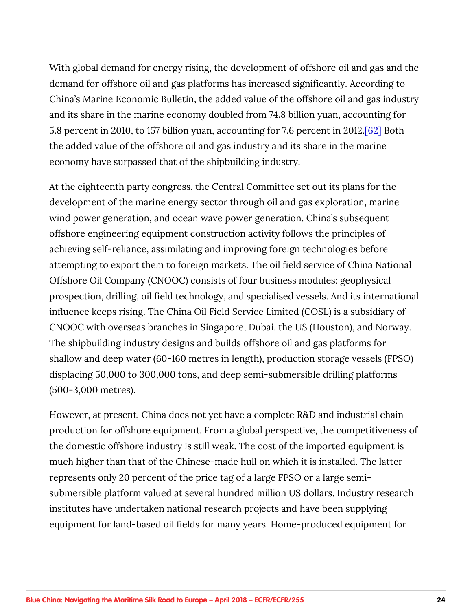<span id="page-23-0"></span>With global demand for energy rising, the development of offshore oil and gas and the demand for offshore oil and gas platforms has increased significantly. According to China's Marine Economic Bulletin, the added value of the offshore oil and gas industry and its share in the marine economy doubled from 74.8 billion yuan, accounting for 5.8 percent in 2010, to 157 billion yuan, accounting for 7.6 percent in 2012[.\[62\]](#page-49-0) Both the added value of the offshore oil and gas industry and its share in the marine economy have surpassed that of the shipbuilding industry.

At the eighteenth party congress, the Central Committee set out its plans for the development of the marine energy sector through oil and gas exploration, marine wind power generation, and ocean wave power generation. China's subsequent offshore engineering equipment construction activity follows the principles of achieving self-reliance, assimilating and improving foreign technologies before attempting to export them to foreign markets. The oil field service of China National Offshore Oil Company (CNOOC) consists of four business modules: geophysical prospection, drilling, oil field technology, and specialised vessels. And its international influence keeps rising. The China Oil Field Service Limited (COSL) is a subsidiary of CNOOC with overseas branches in Singapore, Dubai, the US (Houston), and Norway. The shipbuilding industry designs and builds offshore oil and gas platforms for shallow and deep water (60-160 metres in length), production storage vessels (FPSO) displacing 50,000 to 300,000 tons, and deep semi-submersible drilling platforms (500-3,000 metres).

However, at present, China does not yet have a complete R&D and industrial chain production for offshore equipment. From a global perspective, the competitiveness of the domestic offshore industry is still weak. The cost of the imported equipment is much higher than that of the Chinese-made hull on which it is installed. The latter represents only 20 percent of the price tag of a large FPSO or a large semisubmersible platform valued at several hundred million US dollars. Industry research institutes have undertaken national research projects and have been supplying equipment for land-based oil fields for many years. Home-produced equipment for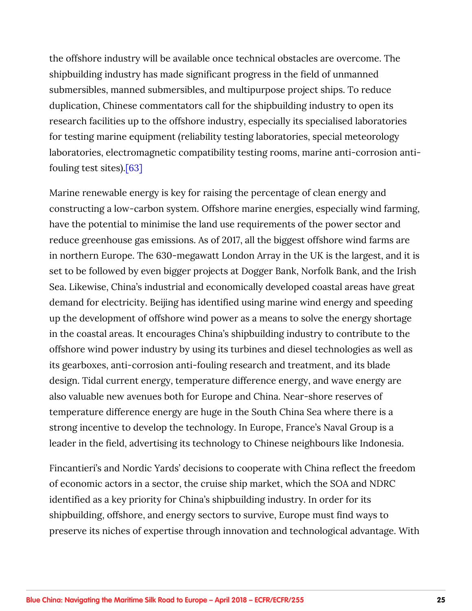<span id="page-24-0"></span>the offshore industry will be available once technical obstacles are overcome. The shipbuilding industry has made significant progress in the field of unmanned submersibles, manned submersibles, and multipurpose project ships. To reduce duplication, Chinese commentators call for the shipbuilding industry to open its research facilities up to the offshore industry, especially its specialised laboratories for testing marine equipment (reliability testing laboratories, special meteorology laboratories, electromagnetic compatibility testing rooms, marine anti-corrosion antifouling test sites).[\[63\]](#page-49-0)

Marine renewable energy is key for raising the percentage of clean energy and constructing a low-carbon system. Offshore marine energies, especially wind farming, have the potential to minimise the land use requirements of the power sector and reduce greenhouse gas emissions. As of 2017, all the biggest offshore wind farms are in northern Europe. The 630-megawatt London Array in the UK is the largest, and it is set to be followed by even bigger projects at Dogger Bank, Norfolk Bank, and the Irish Sea. Likewise, China's industrial and economically developed coastal areas have great demand for electricity. Beijing has identified using marine wind energy and speeding up the development of offshore wind power as a means to solve the energy shortage in the coastal areas. It encourages China's shipbuilding industry to contribute to the offshore wind power industry by using its turbines and diesel technologies as well as its gearboxes, anti-corrosion anti-fouling research and treatment, and its blade design. Tidal current energy, temperature difference energy, and wave energy are also valuable new avenues both for Europe and China. Near-shore reserves of temperature difference energy are huge in the South China Sea where there is a strong incentive to develop the technology. In Europe, France's Naval Group is a leader in the field, advertising its technology to Chinese neighbours like Indonesia.

Fincantieri's and Nordic Yards' decisions to cooperate with China reflect the freedom of economic actors in a sector, the cruise ship market, which the SOA and NDRC identified as a key priority for China's shipbuilding industry. In order for its shipbuilding, offshore, and energy sectors to survive, Europe must find ways to preserve its niches of expertise through innovation and technological advantage. With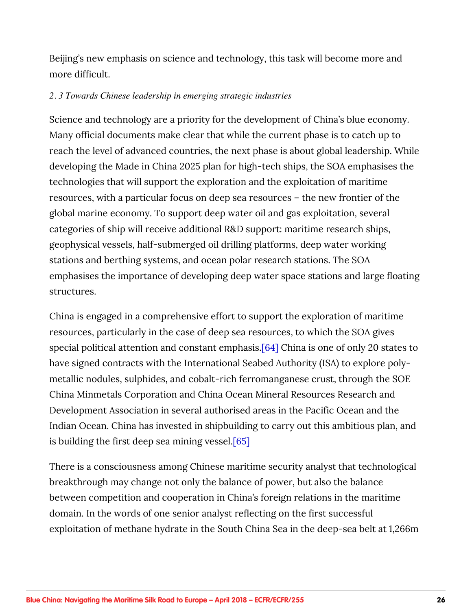<span id="page-25-0"></span>Beijing's new emphasis on science and technology, this task will become more and more difficult.

#### *2. 3 Towards Chinese leadership in emerging strategic industries*

Science and technology are a priority for the development of China's blue economy. Many official documents make clear that while the current phase is to catch up to reach the level of advanced countries, the next phase is about global leadership. While developing the Made in China 2025 plan for high-tech ships, the SOA emphasises the technologies that will support the exploration and the exploitation of maritime resources, with a particular focus on deep sea resources – the new frontier of the global marine economy. To support deep water oil and gas exploitation, several categories of ship will receive additional R&D support: maritime research ships, geophysical vessels, half-submerged oil drilling platforms, deep water working stations and berthing systems, and ocean polar research stations. The SOA emphasises the importance of developing deep water space stations and large floating structures.

China is engaged in a comprehensive effort to support the exploration of maritime resources, particularly in the case of deep sea resources, to which the SOA gives special political attention and constant emphasis[.\[64\]](#page-49-0) China is one of only 20 states to have signed contracts with the International Seabed Authority (ISA) to explore polymetallic nodules, sulphides, and cobalt-rich ferromanganese crust, through the SOE China Minmetals Corporation and China Ocean Mineral Resources Research and Development Association in several authorised areas in the Pacific Ocean and the Indian Ocean. China has invested in shipbuilding to carry out this ambitious plan, and is building the first deep sea mining vessel[.\[65\]](#page-49-0)

There is a consciousness among Chinese maritime security analyst that technological breakthrough may change not only the balance of power, but also the balance between competition and cooperation in China's foreign relations in the maritime domain. In the words of one senior analyst reflecting on the first successful exploitation of methane hydrate in the South China Sea in the deep-sea belt at 1,266m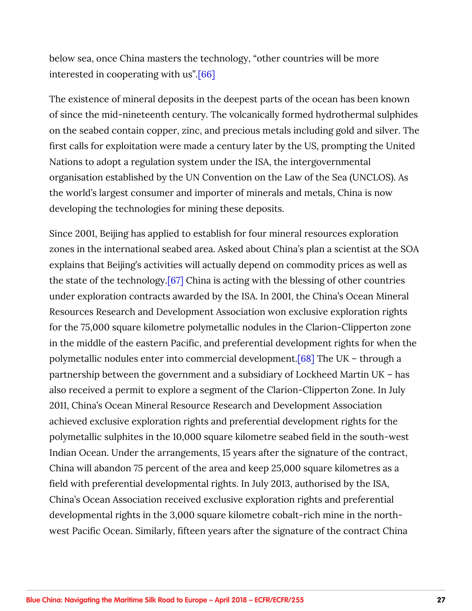<span id="page-26-0"></span>below sea, once China masters the technology, "other countries will be more interested in cooperating with us".[\[66\]](#page-50-0)

The existence of mineral deposits in the deepest parts of the ocean has been known of since the mid-nineteenth century. The volcanically formed hydrothermal sulphides on the seabed contain copper, zinc, and precious metals including gold and silver. The first calls for exploitation were made a century later by the US, prompting the United Nations to adopt a regulation system under the ISA, the intergovernmental organisation established by the UN Convention on the Law of the Sea (UNCLOS). As the world's largest consumer and importer of minerals and metals, China is now developing the technologies for mining these deposits.

Since 2001, Beijing has applied to establish for four mineral resources exploration zones in the international seabed area. Asked about China's plan a scientist at the SOA explains that Beijing's activities will actually depend on commodity prices as well as the state of the technology[.\[67\]](#page-50-0) China is acting with the blessing of other countries under exploration contracts awarded by the ISA. In 2001, the China's Ocean Mineral Resources Research and Development Association won exclusive exploration rights for the 75,000 square kilometre polymetallic nodules in the Clarion-Clipperton zone in the middle of the eastern Pacific, and preferential development rights for when the polymetallic nodules enter into commercial development.[\[68\]](#page-50-0) The UK – through a partnership between the government and a subsidiary of Lockheed Martin UK – has also received a permit to explore a segment of the Clarion-Clipperton Zone. In July 2011, China's Ocean Mineral Resource Research and Development Association achieved exclusive exploration rights and preferential development rights for the polymetallic sulphites in the 10,000 square kilometre seabed field in the south-west Indian Ocean. Under the arrangements, 15 years after the signature of the contract, China will abandon 75 percent of the area and keep 25,000 square kilometres as a field with preferential developmental rights. In July 2013, authorised by the ISA, China's Ocean Association received exclusive exploration rights and preferential developmental rights in the 3,000 square kilometre cobalt-rich mine in the northwest Pacific Ocean. Similarly, fifteen years after the signature of the contract China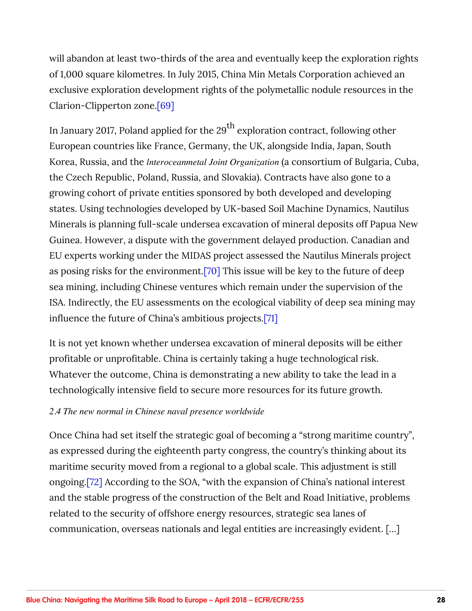<span id="page-27-0"></span>will abandon at least two-thirds of the area and eventually keep the exploration rights of 1,000 square kilometres. In July 2015, China Min Metals Corporation achieved an exclusive exploration development rights of the polymetallic nodule resources in the Clarion-Clipperton zone.[\[69\]](#page-50-0)

In January 2017, Poland applied for the  $29<sup>th</sup>$  exploration contract, following other European countries like France, Germany, the UK, alongside India, Japan, South Korea, Russia, and the *lnteroceanmetal Joint Organization* (a consortium of Bulgaria, Cuba, the Czech Republic, Poland, Russia, and Slovakia). Contracts have also gone to a growing cohort of private entities sponsored by both developed and developing states. Using technologies developed by UK-based Soil Machine Dynamics, Nautilus Minerals is planning full-scale undersea excavation of mineral deposits off Papua New Guinea. However, a dispute with the government delayed production. Canadian and EU experts working under the MIDAS project assessed the Nautilus Minerals project as posing risks for the environment[.\[70\]](#page-50-0) This issue will be key to the future of deep sea mining, including Chinese ventures which remain under the supervision of the ISA. Indirectly, the EU assessments on the ecological viability of deep sea mining may influence the future of China's ambitious projects[.\[71\]](#page-50-0)

It is not yet known whether undersea excavation of mineral deposits will be either profitable or unprofitable. China is certainly taking a huge technological risk. Whatever the outcome, China is demonstrating a new ability to take the lead in a technologically intensive field to secure more resources for its future growth.

#### *2.4 The new normal in Chinese naval presence worldwide*

Once China had set itself the strategic goal of becoming a "strong maritime country", as expressed during the eighteenth party congress, the country's thinking about its maritime security moved from a regional to a global scale. This adjustment is still ongoing[.\[72\]](#page-50-0) According to the SOA, "with the expansion of China's national interest and the stable progress of the construction of the Belt and Road Initiative, problems related to the security of offshore energy resources, strategic sea lanes of communication, overseas nationals and legal entities are increasingly evident. […]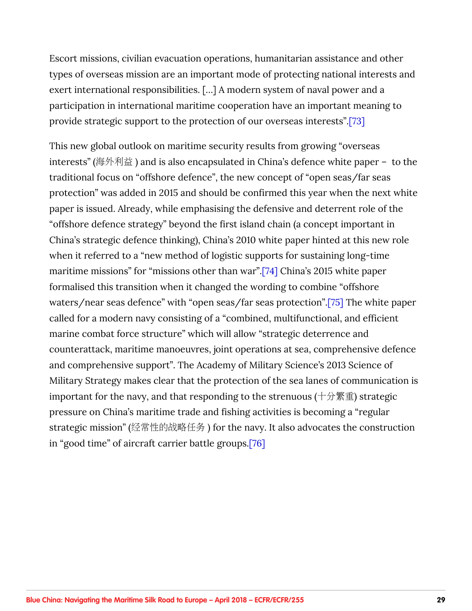<span id="page-28-0"></span>Escort missions, civilian evacuation operations, humanitarian assistance and other types of overseas mission are an important mode of protecting national interests and exert international responsibilities. […] A modern system of naval power and a participation in international maritime cooperation have an important meaning to provide strategic support to the protection of our overseas interests".[\[73\]](#page-50-0)

This new global outlook on maritime security results from growing "overseas interests" (海外利益) and is also encapsulated in China's defence white paper – to the traditional focus on "offshore defence", the new concept of "open seas/far seas protection" was added in 2015 and should be confirmed this year when the next white paper is issued. Already, while emphasising the defensive and deterrent role of the "offshore defence strategy" beyond the first island chain (a concept important in China's strategic defence thinking), China's 2010 white paper hinted at this new role when it referred to a "new method of logistic supports for sustaining long-time maritime missions" for "missions other than war".[\[74\]](#page-51-0) China's 2015 white paper formalised this transition when it changed the wording to combine "offshore waters/near seas defence" with "open seas/far seas protection".[\[75\]](#page-51-0) The white paper called for a modern navy consisting of a "combined, multifunctional, and efficient marine combat force structure" which will allow "strategic deterrence and counterattack, maritime manoeuvres, joint operations at sea, comprehensive defence and comprehensive support". The Academy of Military Science's 2013 Science of Military Strategy makes clear that the protection of the sea lanes of communication is important for the navy, and that responding to the strenuous ( $+\hat{\pi}\$ ) strategic pressure on China's maritime trade and fishing activities is becoming a "regular strategic mission" (经常性的战略任务) for the navy. It also advocates the construction in "good time" of aircraft carrier battle groups[.\[76\]](#page-51-0)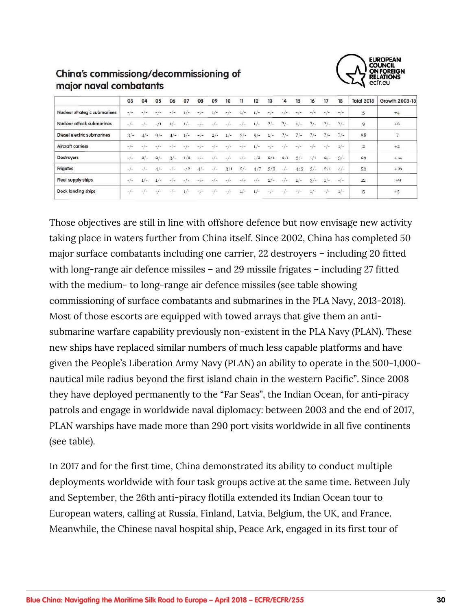

### China's commissiong/decommissioning of major naval combatants

|                              | 03          | 04    | 05     | 06     | 07                             | 08                               | 09                                   | 10       | 11       | 12    | 13    | 14    | 15               | 16               | 17    | 18    | <b>Total 2018</b>  | Growth 2003-18 |
|------------------------------|-------------|-------|--------|--------|--------------------------------|----------------------------------|--------------------------------------|----------|----------|-------|-------|-------|------------------|------------------|-------|-------|--------------------|----------------|
| Nuclear strategic submarines | $-/-$       | $-1-$ |        | $-1-$  | ı —                            | $-1-$                            | $1/-$                                | $-/-$    | $1/-$    | $1/-$ | $-1-$ | $-1-$ | $-1$ $-$         | $-1$<br><u>.</u> | $-/-$ | $-1-$ | 5                  | $+4$           |
| Nuclear attack submarines    | $-\,-$      | $-1$  | $-1/1$ | $1/-$  | $1/-$                          | $-1$<br>$\overline{\phantom{a}}$ | $-1-$                                | $-1$ –   | $-1-$    | $1/-$ | $2/-$ | $2/-$ | $1/-$            | $2/-$            | $?/-$ | $2/-$ | $\mathsf{9}$       | $+6$           |
| Diesel electric submarines   | $3/-$       | $4/-$ | $9/-$  | $4/-$  | $1/-$                          | $-1-$                            | $2/-$                                | $1/-$    | $3/-$    | $5/-$ | $1/-$ | $2/-$ | $\frac{2}{2}$ /- | $2/-$            | $?/-$ | $?/-$ | 58                 | $\alpha$       |
| <b>Aircraft carriers</b>     | $-1-$       |       |        |        |                                |                                  |                                      |          |          |       | $-1-$ |       |                  | $-1-$            | $-1-$ | $1/-$ | $\overline{2}$     | $+2$           |
| Destroyers                   | $-\sqrt{-}$ | $2/-$ | $2/-$  | $3/-$  | 1/2                            | $-1$                             | $\sim$ 1<br>$\overline{\phantom{a}}$ | $-1$     | $\sim$ 1 | $-12$ | 2/1   | 2/1   | $3/-$            | 1/1              | $2/-$ | $3/-$ | 29                 | $+14$          |
| Frigates                     | $-/-$       | $-1-$ |        | $-1 -$ | 12<br>$\overline{\phantom{a}}$ | $4/-$                            | $-1-$                                | 3/1      | $2/-$    | 4/7   | 3/3   | $-/-$ | 4/3              | $3/-$            | 2/1   | $4/-$ | 53                 | $+16$          |
| Fleet supply ships           | $-/-$       | $1/-$ | $1/-$  | $-1-$  | $\overline{\phantom{a}}$       | $\overline{\phantom{a}}$<br>ı.   | ÷                                    | ∼<br>- 1 | $-1 -$   | $-1-$ | $2/-$ | $-1$  | $1/-$            | $3/-$            | $1/-$ | $-/-$ | <b>COULD</b><br>12 | $+9$           |
| Dock landing ships           | $-1 -$      | $-1-$ | $-1$   | $-1 -$ | $1/-$                          | ÷<br>$-1$                        | $-1-$                                | $-1-$    | $1/-$    | $1/-$ | $-1-$ | $-1$  | $-1-$            | 1/2              | $-1$  | $1/-$ | 5                  | $+5$           |
|                              |             |       |        |        |                                |                                  |                                      |          |          |       |       |       |                  |                  |       |       |                    |                |

Those objectives are still in line with offshore defence but now envisage new activity taking place in waters further from China itself. Since 2002, China has completed 50 major surface combatants including one carrier, 22 destroyers – including 20 fitted with long-range air defence missiles – and 29 missile frigates – including 27 fitted with the medium- to long-range air defence missiles (see table showing commissioning of surface combatants and submarines in the PLA Navy, 2013-2018). Most of those escorts are equipped with towed arrays that give them an antisubmarine warfare capability previously non-existent in the PLA Navy (PLAN). These new ships have replaced similar numbers of much less capable platforms and have given the People's Liberation Army Navy (PLAN) an ability to operate in the 500-1,000 nautical mile radius beyond the first island chain in the western Pacific". Since 2008 they have deployed permanently to the "Far Seas", the Indian Ocean, for anti-piracy patrols and engage in worldwide naval diplomacy: between 2003 and the end of 2017, PLAN warships have made more than 290 port visits worldwide in all five continents (see table).

In 2017 and for the first time, China demonstrated its ability to conduct multiple deployments worldwide with four task groups active at the same time. Between July and September, the 26th anti-piracy flotilla extended its Indian Ocean tour to European waters, calling at Russia, Finland, Latvia, Belgium, the UK, and France. Meanwhile, the Chinese naval hospital ship, Peace Ark, engaged in its first tour of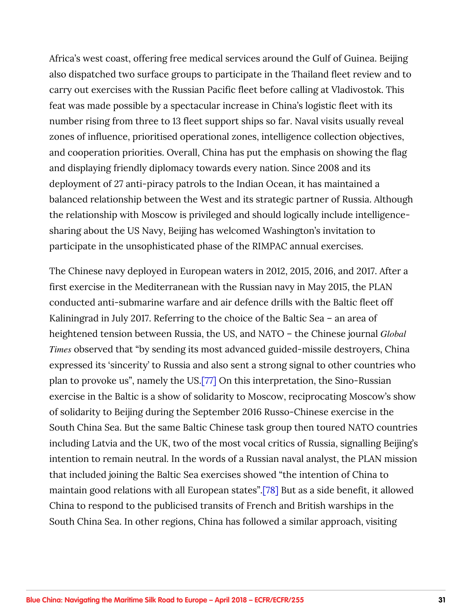<span id="page-30-0"></span>Africa's west coast, offering free medical services around the Gulf of Guinea. Beijing also dispatched two surface groups to participate in the Thailand fleet review and to carry out exercises with the Russian Pacific fleet before calling at Vladivostok. This feat was made possible by a spectacular increase in China's logistic fleet with its number rising from three to 13 fleet support ships so far. Naval visits usually reveal zones of influence, prioritised operational zones, intelligence collection objectives, and cooperation priorities. Overall, China has put the emphasis on showing the flag and displaying friendly diplomacy towards every nation. Since 2008 and its deployment of 27 anti-piracy patrols to the Indian Ocean, it has maintained a balanced relationship between the West and its strategic partner of Russia. Although the relationship with Moscow is privileged and should logically include intelligencesharing about the US Navy, Beijing has welcomed Washington's invitation to participate in the unsophisticated phase of the RIMPAC annual exercises.

The Chinese navy deployed in European waters in 2012, 2015, 2016, and 2017. After a first exercise in the Mediterranean with the Russian navy in May 2015, the PLAN conducted anti-submarine warfare and air defence drills with the Baltic fleet off Kaliningrad in July 2017. Referring to the choice of the Baltic Sea – an area of heightened tension between Russia, the US, and NATO – the Chinese journal *Global Times* observed that "by sending its most advanced guided-missile destroyers, China expressed its 'sincerity' to Russia and also sent a strong signal to other countries who plan to provoke us", namely the US[.\[77\]](#page-51-0) On this interpretation, the Sino-Russian exercise in the Baltic is a show of solidarity to Moscow, reciprocating Moscow's show of solidarity to Beijing during the September 2016 Russo-Chinese exercise in the South China Sea. But the same Baltic Chinese task group then toured NATO countries including Latvia and the UK, two of the most vocal critics of Russia, signalling Beijing's intention to remain neutral. In the words of a Russian naval analyst, the PLAN mission that included joining the Baltic Sea exercises showed "the intention of China to maintain good relations with all European states".[\[78\]](#page-51-0) But as a side benefit, it allowed China to respond to the publicised transits of French and British warships in the South China Sea. In other regions, China has followed a similar approach, visiting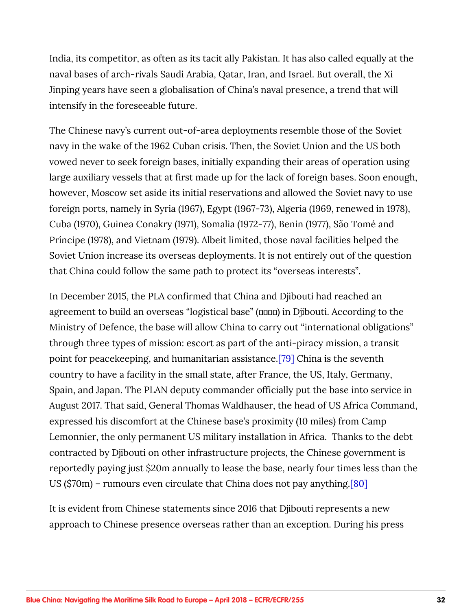<span id="page-31-0"></span>India, its competitor, as often as its tacit ally Pakistan. It has also called equally at the naval bases of arch-rivals Saudi Arabia, Qatar, Iran, and Israel. But overall, the Xi Jinping years have seen a globalisation of China's naval presence, a trend that will intensify in the foreseeable future.

The Chinese navy's current out-of-area deployments resemble those of the Soviet navy in the wake of the 1962 Cuban crisis. Then, the Soviet Union and the US both vowed never to seek foreign bases, initially expanding their areas of operation using large auxiliary vessels that at first made up for the lack of foreign bases. Soon enough, however, Moscow set aside its initial reservations and allowed the Soviet navy to use foreign ports, namely in Syria (1967), Egypt (1967-73), Algeria (1969, renewed in 1978), Cuba (1970), Guinea Conakry (1971), Somalia (1972-77), Benin (1977), São Tomé and Príncipe (1978), and Vietnam (1979). Albeit limited, those naval facilities helped the Soviet Union increase its overseas deployments. It is not entirely out of the question that China could follow the same path to protect its "overseas interests".

In December 2015, the PLA confirmed that China and Djibouti had reached an agreement to build an overseas "logistical base" ( $\Box$ ) in Djibouti. According to the Ministry of Defence, the base will allow China to carry out "international obligations" through three types of mission: escort as part of the anti-piracy mission, a transit point for peacekeeping, and humanitarian assistance.[\[79\]](#page-51-0) China is the seventh country to have a facility in the small state, after France, the US, Italy, Germany, Spain, and Japan. The PLAN deputy commander officially put the base into service in August 2017. That said, General Thomas Waldhauser, the head of US Africa Command, expressed his discomfort at the Chinese base's proximity (10 miles) from Camp Lemonnier, the only permanent US military installation in Africa. Thanks to the debt contracted by Djibouti on other infrastructure projects, the Chinese government is reportedly paying just \$20m annually to lease the base, nearly four times less than the US (\$70m) – rumours even circulate that China does not pay anything[.\[80\]](#page-51-0)

It is evident from Chinese statements since 2016 that Djibouti represents a new approach to Chinese presence overseas rather than an exception. During his press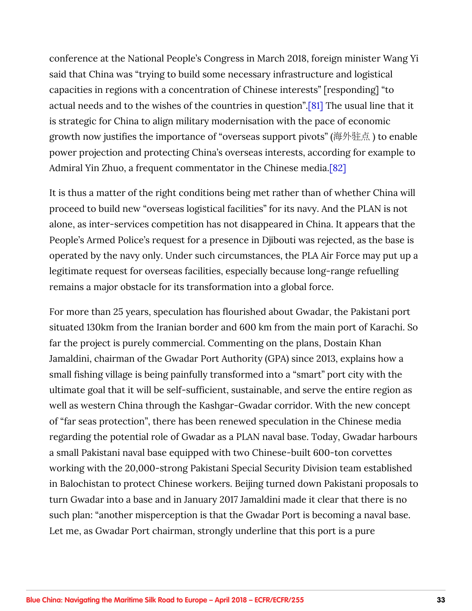<span id="page-32-0"></span>conference at the National People's Congress in March 2018, foreign minister Wang Yi said that China was "trying to build some necessary infrastructure and logistical capacities in regions with a concentration of Chinese interests" [responding] "to actual needs and to the wishes of the countries in question".[\[81\]](#page-51-0) The usual line that it is strategic for China to align military modernisation with the pace of economic growth now justifies the importance of "overseas support pivots" (海外驻点) to enable power projection and protecting China's overseas interests, according for example to Admiral Yin Zhuo, a frequent commentator in the Chinese media[.\[82\]](#page-51-0)

It is thus a matter of the right conditions being met rather than of whether China will proceed to build new "overseas logistical facilities" for its navy. And the PLAN is not alone, as inter-services competition has not disappeared in China. It appears that the People's Armed Police's request for a presence in Djibouti was rejected, as the base is operated by the navy only. Under such circumstances, the PLA Air Force may put up a legitimate request for overseas facilities, especially because long-range refuelling remains a major obstacle for its transformation into a global force.

For more than 25 years, speculation has flourished about Gwadar, the Pakistani port situated 130km from the Iranian border and 600 km from the main port of Karachi. So far the project is purely commercial. Commenting on the plans, Dostain Khan Jamaldini, chairman of the Gwadar Port Authority (GPA) since 2013, explains how a small fishing village is being painfully transformed into a "smart" port city with the ultimate goal that it will be self-sufficient, sustainable, and serve the entire region as well as western China through the Kashgar-Gwadar corridor. With the new concept of "far seas protection", there has been renewed speculation in the Chinese media regarding the potential role of Gwadar as a PLAN naval base. Today, Gwadar harbours a small Pakistani naval base equipped with two Chinese-built 600-ton corvettes working with the 20,000-strong Pakistani Special Security Division team established in Balochistan to protect Chinese workers. Beijing turned down Pakistani proposals to turn Gwadar into a base and in January 2017 Jamaldini made it clear that there is no such plan: "another misperception is that the Gwadar Port is becoming a naval base. Let me, as Gwadar Port chairman, strongly underline that this port is a pure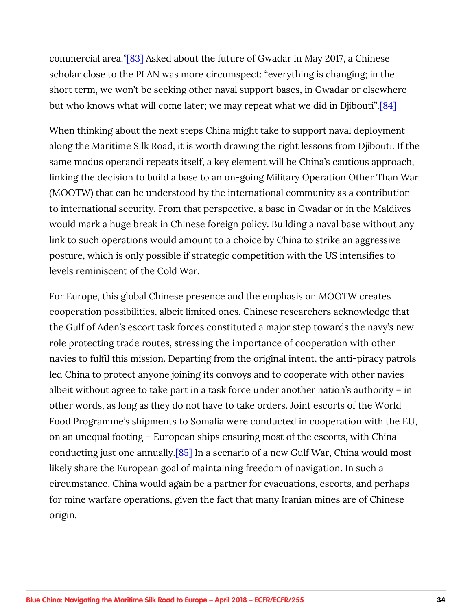<span id="page-33-0"></span>commercial area.["\[83\]](#page-52-0) Asked about the future of Gwadar in May 2017, a Chinese scholar close to the PLAN was more circumspect: "everything is changing; in the short term, we won't be seeking other naval support bases, in Gwadar or elsewhere but who knows what will come later; we may repeat what we did in Djibouti"[.\[84\]](#page-52-0)

When thinking about the next steps China might take to support naval deployment along the Maritime Silk Road, it is worth drawing the right lessons from Djibouti. If the same modus operandi repeats itself, a key element will be China's cautious approach, linking the decision to build a base to an on-going Military Operation Other Than War (MOOTW) that can be understood by the international community as a contribution to international security. From that perspective, a base in Gwadar or in the Maldives would mark a huge break in Chinese foreign policy. Building a naval base without any link to such operations would amount to a choice by China to strike an aggressive posture, which is only possible if strategic competition with the US intensifies to levels reminiscent of the Cold War.

For Europe, this global Chinese presence and the emphasis on MOOTW creates cooperation possibilities, albeit limited ones. Chinese researchers acknowledge that the Gulf of Aden's escort task forces constituted a major step towards the navy's new role protecting trade routes, stressing the importance of cooperation with other navies to fulfil this mission. Departing from the original intent, the anti-piracy patrols led China to protect anyone joining its convoys and to cooperate with other navies albeit without agree to take part in a task force under another nation's authority – in other words, as long as they do not have to take orders. Joint escorts of the World Food Programme's shipments to Somalia were conducted in cooperation with the EU, on an unequal footing – European ships ensuring most of the escorts, with China conducting just one annually.[\[85\]](#page-52-0) In a scenario of a new Gulf War, China would most likely share the European goal of maintaining freedom of navigation. In such a circumstance, China would again be a partner for evacuations, escorts, and perhaps for mine warfare operations, given the fact that many Iranian mines are of Chinese origin.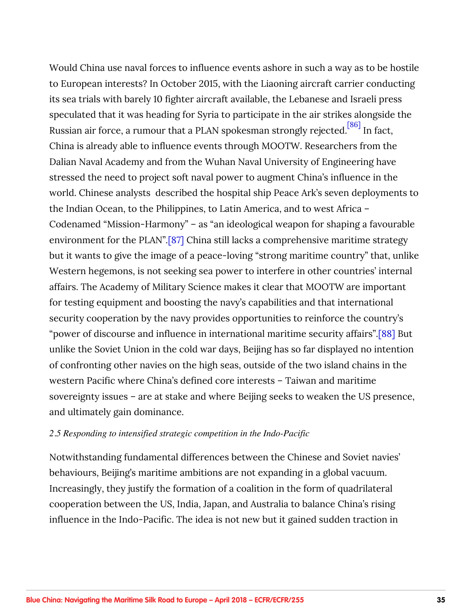<span id="page-34-0"></span>Would China use naval forces to influence events ashore in such a way as to be hostile to European interests? In October 2015, with the Liaoning aircraft carrier conducting its sea trials with barely 10 fighter aircraft available, the Lebanese and Israeli press speculated that it was heading for Syria to participate in the air strikes alongside the Russian air force, a rumour that a PLAN spokesman strongly rejected.<sup>[86]</sup> In fact. China is already able to influence events through MOOTW. Researchers from the Dalian Naval Academy and from the Wuhan Naval University of Engineering have stressed the need to project soft naval power to augment China's influence in the world. Chinese analysts described the hospital ship Peace Ark's seven deployments to the Indian Ocean, to the Philippines, to Latin America, and to west Africa – Codenamed "Mission-Harmony" – as "an ideological weapon for shaping a favourable environment for the PLAN".[\[87\]](#page-52-0) China still lacks a comprehensive maritime strategy but it wants to give the image of a peace-loving "strong maritime country" that, unlike Western hegemons, is not seeking sea power to interfere in other countries' internal affairs. The Academy of Military Science makes it clear that MOOTW are important for testing equipment and boosting the navy's capabilities and that international security cooperation by the navy provides opportunities to reinforce the country's "power of discourse and influence in international maritime security affairs".[\[88\]](#page-52-0) But unlike the Soviet Union in the cold war days, Beijing has so far displayed no intention of confronting other navies on the high seas, outside of the two island chains in the western Pacific where China's defined core interests – Taiwan and maritime sovereignty issues – are at stake and where Beijing seeks to weaken the US presence, and ultimately gain dominance.

#### *2.5 Responding to intensified strategic competition in the Indo-Pacific*

Notwithstanding fundamental differences between the Chinese and Soviet navies' behaviours, Beijing's maritime ambitions are not expanding in a global vacuum. Increasingly, they justify the formation of a coalition in the form of quadrilateral cooperation between the US, India, Japan, and Australia to balance China's rising influence in the Indo-Pacific. The idea is not new but it gained sudden traction in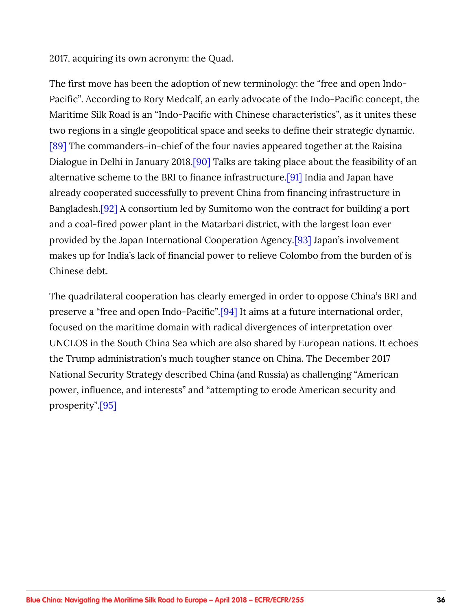<span id="page-35-0"></span>2017, acquiring its own acronym: the Quad.

The first move has been the adoption of new terminology: the "free and open Indo-Pacific". According to Rory Medcalf, an early advocate of the Indo-Pacific concept, the Maritime Silk Road is an "Indo-Pacific with Chinese characteristics", as it unites these two regions in a single geopolitical space and seeks to define their strategic dynamic. [\[89\]](#page-52-0) The commanders-in-chief of the four navies appeared together at the Raisina Dialogue in Delhi in January 2018.<sup>[90]</sup> Talks are taking place about the feasibility of an alternative scheme to the BRI to finance infrastructure[.\[91\]](#page-53-0) India and Japan have already cooperated successfully to prevent China from financing infrastructure in Bangladesh[.\[92\]](#page-53-0) A consortium led by Sumitomo won the contract for building a port and a coal-fired power plant in the Matarbari district, with the largest loan ever provided by the Japan International Cooperation Agency.[\[93\]](#page-53-0) Japan's involvement makes up for India's lack of financial power to relieve Colombo from the burden of is Chinese debt.

The quadrilateral cooperation has clearly emerged in order to oppose China's BRI and preserve a "free and open Indo-Pacific".[\[94\]](#page-53-0) It aims at a future international order, focused on the maritime domain with radical divergences of interpretation over UNCLOS in the South China Sea which are also shared by European nations. It echoes the Trump administration's much tougher stance on China. The December 2017 National Security Strategy described China (and Russia) as challenging "American power, influence, and interests" and "attempting to erode American security and prosperity"[.\[95\]](#page-53-0)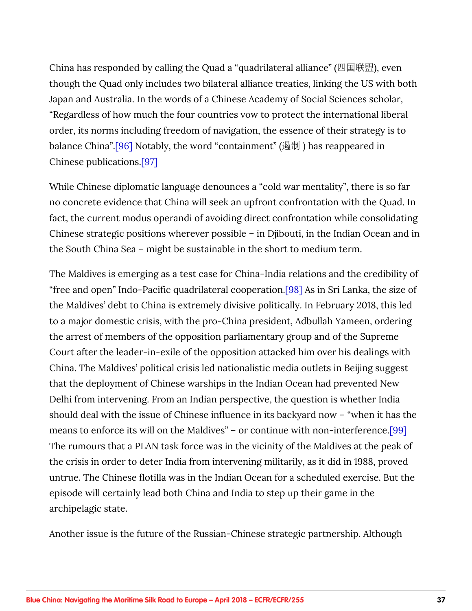<span id="page-36-0"></span>China has responded by calling the Quad a "quadrilateral alliance" (四国联盟), even though the Quad only includes two bilateral alliance treaties, linking the US with both Japan and Australia. In the words of a Chinese Academy of Social Sciences scholar, "Regardless of how much the four countries vow to protect the international liberal order, its norms including freedom of navigation, the essence of their strategy is to balance China".[\[96\]](#page-53-0) Notably, the word "containment" (遏制) has reappeared in Chinese publications[.\[97\]](#page-53-0)

While Chinese diplomatic language denounces a "cold war mentality", there is so far no concrete evidence that China will seek an upfront confrontation with the Quad. In fact, the current modus operandi of avoiding direct confrontation while consolidating Chinese strategic positions wherever possible – in Djibouti, in the Indian Ocean and in the South China Sea – might be sustainable in the short to medium term.

The Maldives is emerging as a test case for China-India relations and the credibility of "free and open" Indo-Pacific quadrilateral cooperation[.\[98\]](#page-54-0) As in Sri Lanka, the size of the Maldives' debt to China is extremely divisive politically. In February 2018, this led to a major domestic crisis, with the pro-China president, Adbullah Yameen, ordering the arrest of members of the opposition parliamentary group and of the Supreme Court after the leader-in-exile of the opposition attacked him over his dealings with China. The Maldives' political crisis led nationalistic media outlets in Beijing suggest that the deployment of Chinese warships in the Indian Ocean had prevented New Delhi from intervening. From an Indian perspective, the question is whether India should deal with the issue of Chinese influence in its backyard now – "when it has the means to enforce its will on the Maldives" – or continue with non-interference[.\[99\]](#page-54-0) The rumours that a PLAN task force was in the vicinity of the Maldives at the peak of the crisis in order to deter India from intervening militarily, as it did in 1988, proved untrue. The Chinese flotilla was in the Indian Ocean for a scheduled exercise. But the episode will certainly lead both China and India to step up their game in the archipelagic state.

Another issue is the future of the Russian-Chinese strategic partnership. Although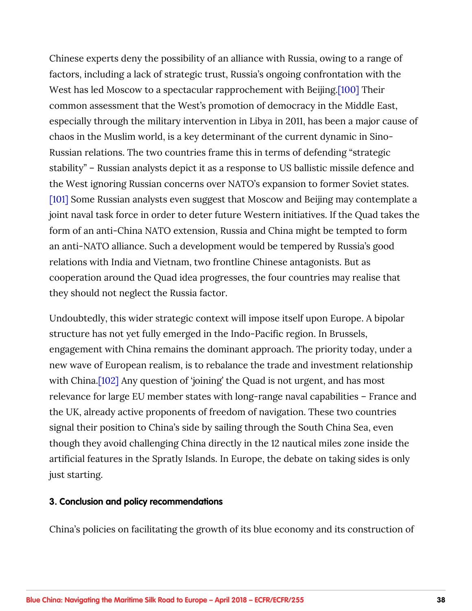<span id="page-37-0"></span>Chinese experts deny the possibility of an alliance with Russia, owing to a range of factors, including a lack of strategic trust, Russia's ongoing confrontation with the West has led Moscow to a spectacular rapprochement with Beijing[.\[100\]](#page-54-0) Their common assessment that the West's promotion of democracy in the Middle East, especially through the military intervention in Libya in 2011, has been a major cause of chaos in the Muslim world, is a key determinant of the current dynamic in Sino-Russian relations. The two countries frame this in terms of defending "strategic stability" – Russian analysts depict it as a response to US ballistic missile defence and the West ignoring Russian concerns over NATO's expansion to former Soviet states. [\[101\]](#page-54-0) Some Russian analysts even suggest that Moscow and Beijing may contemplate a joint naval task force in order to deter future Western initiatives. If the Quad takes the form of an anti-China NATO extension, Russia and China might be tempted to form an anti-NATO alliance. Such a development would be tempered by Russia's good relations with India and Vietnam, two frontline Chinese antagonists. But as cooperation around the Quad idea progresses, the four countries may realise that they should not neglect the Russia factor.

Undoubtedly, this wider strategic context will impose itself upon Europe. A bipolar structure has not yet fully emerged in the Indo-Pacific region. In Brussels, engagement with China remains the dominant approach. The priority today, under a new wave of European realism, is to rebalance the trade and investment relationship with China.<sup>[102]</sup> Any question of 'joining' the Quad is not urgent, and has most relevance for large EU member states with long-range naval capabilities – France and the UK, already active proponents of freedom of navigation. These two countries signal their position to China's side by sailing through the South China Sea, even though they avoid challenging China directly in the 12 nautical miles zone inside the artificial features in the Spratly Islands. In Europe, the debate on taking sides is only just starting.

#### **3. Conclusion and policy recommendations**

China's policies on facilitating the growth of its blue economy and its construction of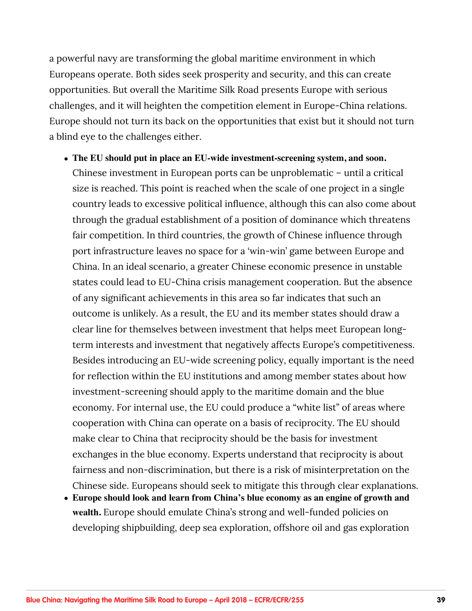a powerful navy are transforming the global maritime environment in which Europeans operate. Both sides seek prosperity and security, and this can create opportunities. But overall the Maritime Silk Road presents Europe with serious challenges, and it will heighten the competition element in Europe-China relations. Europe should not turn its back on the opportunities that exist but it should not turn a blind eye to the challenges either.

- **The EU should put in place an EU-wide investment-screening system, and soon.**  Chinese investment in European ports can be unproblematic – until a critical size is reached. This point is reached when the scale of one project in a single country leads to excessive political influence, although this can also come about through the gradual establishment of a position of dominance which threatens fair competition. In third countries, the growth of Chinese influence through port infrastructure leaves no space for a 'win-win' game between Europe and China. In an ideal scenario, a greater Chinese economic presence in unstable states could lead to EU-China crisis management cooperation. But the absence of any significant achievements in this area so far indicates that such an outcome is unlikely. As a result, the EU and its member states should draw a clear line for themselves between investment that helps meet European longterm interests and investment that negatively affects Europe's competitiveness. Besides introducing an EU-wide screening policy, equally important is the need for reflection within the EU institutions and among member states about how investment-screening should apply to the maritime domain and the blue economy. For internal use, the EU could produce a "white list" of areas where cooperation with China can operate on a basis of reciprocity. The EU should make clear to China that reciprocity should be the basis for investment exchanges in the blue economy. Experts understand that reciprocity is about fairness and non-discrimination, but there is a risk of misinterpretation on the Chinese side. Europeans should seek to mitigate this through clear explanations.
- **Europe should look and learn from China's blue economy as an engine of growth and wealth.** Europe should emulate China's strong and well-funded policies on developing shipbuilding, deep sea exploration, offshore oil and gas exploration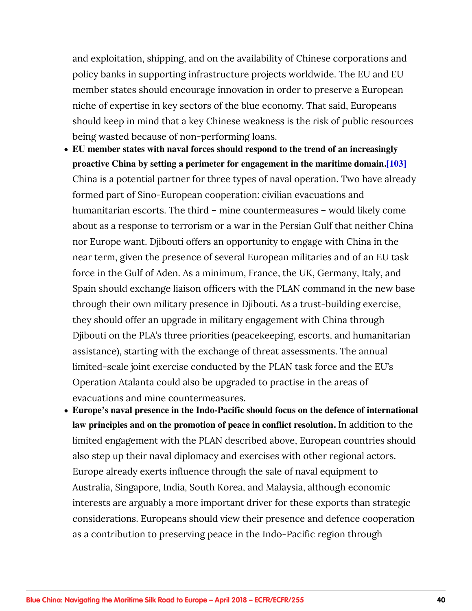<span id="page-39-0"></span>and exploitation, shipping, and on the availability of Chinese corporations and policy banks in supporting infrastructure projects worldwide. The EU and EU member states should encourage innovation in order to preserve a European niche of expertise in key sectors of the blue economy. That said, Europeans should keep in mind that a key Chinese weakness is the risk of public resources being wasted because of non-performing loans.

- **EU member states with naval forces should respond to the trend of an increasingly proactive China by setting a perimeter for engagement in the maritime domain[.\[103\]](#page-54-0)** China is a potential partner for three types of naval operation. Two have already formed part of Sino-European cooperation: civilian evacuations and humanitarian escorts. The third – mine countermeasures – would likely come about as a response to terrorism or a war in the Persian Gulf that neither China nor Europe want. Djibouti offers an opportunity to engage with China in the near term, given the presence of several European militaries and of an EU task force in the Gulf of Aden. As a minimum, France, the UK, Germany, Italy, and Spain should exchange liaison officers with the PLAN command in the new base through their own military presence in Djibouti. As a trust-building exercise, they should offer an upgrade in military engagement with China through Djibouti on the PLA's three priorities (peacekeeping, escorts, and humanitarian assistance), starting with the exchange of threat assessments. The annual limited-scale joint exercise conducted by the PLAN task force and the EU's Operation Atalanta could also be upgraded to practise in the areas of evacuations and mine countermeasures.
- **Europe's naval presence in the Indo-Pacific should focus on the defence of international law principles and on the promotion of peace in conflict resolution.** In addition to the limited engagement with the PLAN described above, European countries should also step up their naval diplomacy and exercises with other regional actors. Europe already exerts influence through the sale of naval equipment to Australia, Singapore, India, South Korea, and Malaysia, although economic interests are arguably a more important driver for these exports than strategic considerations. Europeans should view their presence and defence cooperation as a contribution to preserving peace in the Indo-Pacific region through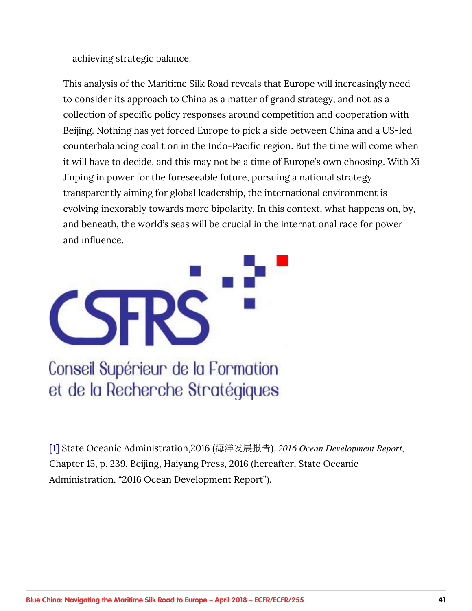<span id="page-40-0"></span>achieving strategic balance.

This analysis of the Maritime Silk Road reveals that Europe will increasingly need to consider its approach to China as a matter of grand strategy, and not as a collection of specific policy responses around competition and cooperation with Beijing. Nothing has yet forced Europe to pick a side between China and a US-led counterbalancing coalition in the Indo-Pacific region. But the time will come when it will have to decide, and this may not be a time of Europe's own choosing. With Xi Jinping in power for the foreseeable future, pursuing a national strategy transparently aiming for global leadership, the international environment is evolving inexorably towards more bipolarity. In this context, what happens on, by, and beneath, the world's seas will be crucial in the international race for power and influence.



Conseil Supérieur de la Formation et de la Recherche Stratégiques

[\[1\]](#page-2-0) State Oceanic Administration,2016 (ᬁ᪪࠴๒ዱ(, *2016 Ocean Development Report*, Chapter 15, p. 239, Beijing, Haiyang Press, 2016 (hereafter, State Oceanic Administration, "2016 Ocean Development Report").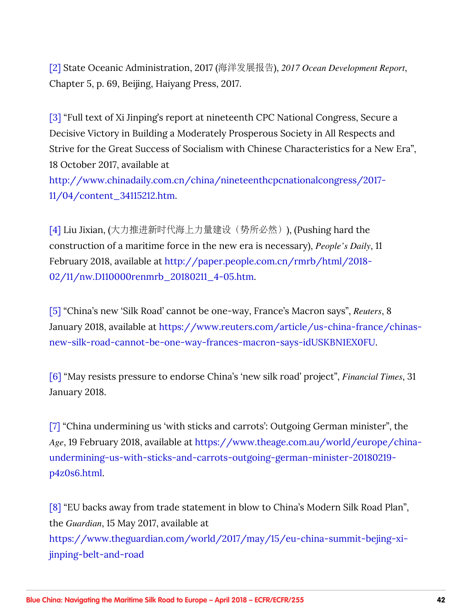<span id="page-41-0"></span>[\[2\]](#page-2-0) State Oceanic Administration, 2017 (ᬁ᪪࠴๒ዱ(, *2017 Ocean Development Report*, Chapter 5, p. 69, Beijing, Haiyang Press, 2017.

[\[3\]](#page-3-0) "Full text of Xi Jinping's report at nineteenth CPC National Congress, Secure a Decisive Victory in Building a Moderately Prosperous Society in All Respects and Strive for the Great Success of Socialism with Chinese Characteristics for a New Era", 18 October 2017, available at

[http://www.chinadaily.com.cn/china/nineteenthcpcnationalcongress/2017-](http://www.chinadaily.com.cn/china/19thcpcnationalcongress/2017-11/04/content_34115212.htm) [11/04/content\\_34115212.htm](http://www.chinadaily.com.cn/china/19thcpcnationalcongress/2017-11/04/content_34115212.htm).

[\[4\]](#page-3-0) Liu Jixian, (大力推进新时代海上力量建设(势所必然)), (Pushing hard the construction of a maritime force in the new era is necessary), *People's Daily*, 11 February 2018, available at [http://paper.people.com.cn/rmrb/html/2018-](http://paper.people.com.cn/rmrb/html/2018-02/11/nw.D110000renmrb_20180211_4-05.htm) [02/11/nw.D110000renmrb\\_20180211\\_4-05.htm](http://paper.people.com.cn/rmrb/html/2018-02/11/nw.D110000renmrb_20180211_4-05.htm).

[\[5\]](#page-5-0) "China's new 'Silk Road' cannot be one-way, France's Macron says", *Reuters*, 8 January 2018, available at [https://www.reuters.com/article/us-china-france/chinas](https://www.reuters.com/article/us-china-france/chinas-new-silk-road-cannot-be-one-way-frances-macron-says-idUSKBN1EX0FU)[new-silk-road-cannot-be-one-way-frances-macron-says-idUSKBN1EX0FU](https://www.reuters.com/article/us-china-france/chinas-new-silk-road-cannot-be-one-way-frances-macron-says-idUSKBN1EX0FU).

[\[6\]](#page-5-0) "May resists pressure to endorse China's 'new silk road' project", *Financial Times*, 31 January 2018.

[\[7\]](#page-5-0) "China undermining us 'with sticks and carrots': Outgoing German minister", the *Age*, 19 February 2018, available at [https://www.theage.com.au/world/europe/china](https://www.theage.com.au/world/europe/china-undermining-us-with-sticks-and-carrots-outgoing-german-minister-20180219-p4z0s6.html)[undermining-us-with-sticks-and-carrots-outgoing-german-minister-20180219](https://www.theage.com.au/world/europe/china-undermining-us-with-sticks-and-carrots-outgoing-german-minister-20180219-p4z0s6.html) [p4z0s6.html.](https://www.theage.com.au/world/europe/china-undermining-us-with-sticks-and-carrots-outgoing-german-minister-20180219-p4z0s6.html)

[\[8\]](#page-6-0) "EU backs away from trade statement in blow to China's Modern Silk Road Plan", the *Guardian*, 15 May 2017, available at [https://www.theguardian.com/world/2017/may/15/eu-china-summit-bejing-xi](https://www.theguardian.com/world/2017/may/15/eu-china-summit-bejing-xi-jinping-belt-and-road)[jinping-belt-and-road](https://www.theguardian.com/world/2017/may/15/eu-china-summit-bejing-xi-jinping-belt-and-road)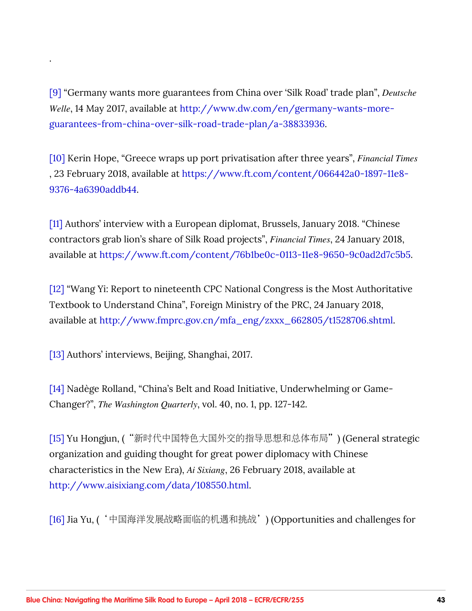[\[9\]](#page-7-0) "Germany wants more guarantees from China over 'Silk Road' trade plan", *Deutsche Welle*, 14 May 2017, available at [http://www.dw.com/en/germany-wants-more](http://www.dw.com/en/germany-wants-more-guarantees-from-china-over-silk-road-trade-plan/a-38833936)[guarantees-from-china-over-silk-road-trade-plan/a-38833936](http://www.dw.com/en/germany-wants-more-guarantees-from-china-over-silk-road-trade-plan/a-38833936).

[\[10\]](#page-7-0) Kerin Hope, "Greece wraps up port privatisation after three years", *Financial Times* , 23 February 2018, available at [https://www.ft.com/content/066442a0-1897-11e8-](https://www.ft.com/content/066442a0-1897-11e8-9376-4a6390addb44) [9376-4a6390addb44](https://www.ft.com/content/066442a0-1897-11e8-9376-4a6390addb44).

[\[11\]](#page-7-0) Authors' interview with a European diplomat, Brussels, January 2018. "Chinese contractors grab lion's share of Silk Road projects", *Financial Times*, 24 January 2018, available at [https://www.ft.com/content/76b1be0c-0113-11e8-9650-9c0ad2d7c5b5.](https://www.ft.com/content/76b1be0c-0113-11e8-9650-9c0ad2d7c5b5)

[\[12\]](#page-8-0) "Wang Yi: Report to nineteenth CPC National Congress is the Most Authoritative Textbook to Understand China", Foreign Ministry of the PRC, 24 January 2018, available at [http://www.fmprc.gov.cn/mfa\\_eng/zxxx\\_662805/t1528706.shtml.](http://www.fmprc.gov.cn/mfa_eng/zxxx_662805/t1528706.shtml)

[\[13\]](#page-8-0) Authors' interviews, Beijing, Shanghai, 2017.

<span id="page-42-0"></span>.

[\[14\]](#page-8-0) Nadège Rolland, "China's Belt and Road Initiative, Underwhelming or Game-Changer?", *The Washington Quarterly*, vol. 40, no. 1, pp. 127-142.

[\[15\]](#page-8-0) Yu Hongjun, ("新时代中国特色大国外交的指导思想和总体布局") (General strategic organization and guiding thought for great power diplomacy with Chinese characteristics in the New Era), *Ai Sixiang*, 26 February 2018, available at <http://www.aisixiang.com/data/108550.html>.

[\[16\]](#page-8-0) Jia Yu, ('中国海洋发展战略面临的机遇和挑战') (Opportunities and challenges for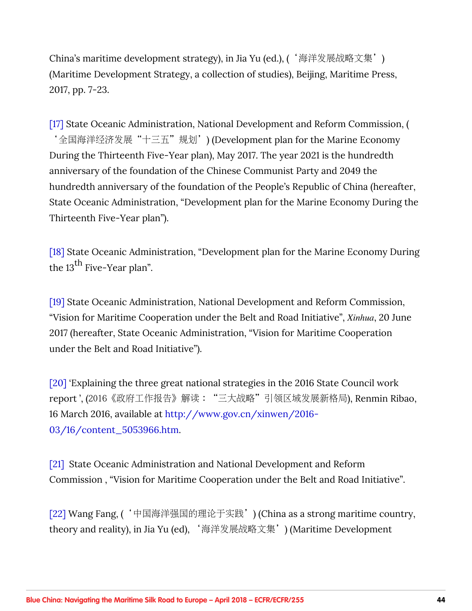<span id="page-43-0"></span>China's maritime development strategy), in Jia Yu (ed.), ('海洋发展战略文集') (Maritime Development Strategy, a collection of studies), Beijing, Maritime Press, 2017, pp. 7-23.

[\[17\]](#page-9-0) State Oceanic Administration, National Development and Reform Commission, ( '全国海洋经济发展"十三五"规划') (Development plan for the Marine Economy During the Thirteenth Five-Year plan), May 2017. The year 2021 is the hundredth anniversary of the foundation of the Chinese Communist Party and 2049 the hundredth anniversary of the foundation of the People's Republic of China (hereafter, State Oceanic Administration, "Development plan for the Marine Economy During the Thirteenth Five-Year plan").

[\[18\]](#page-9-0) State Oceanic Administration, "Development plan for the Marine Economy During the  $13^{th}$  Five-Year plan".

[\[19\]](#page-9-0) State Oceanic Administration, National Development and Reform Commission, "Vision for Maritime Cooperation under the Belt and Road Initiative", *Xinhua*, 20 June 2017 (hereafter, State Oceanic Administration, "Vision for Maritime Cooperation under the Belt and Road Initiative").

[\[20\]](#page-9-0) 'Explaining the three great national strategies in the 2016 State Council work report', (2016《政府工作报告》解读: "三大战略"引领区域发展新格局), Renmin Ribao, 16 March 2016, available at [http://www.gov.cn/xinwen/2016-](http://www.gov.cn/xinwen/2016-03/16/content_5053966.htm) [03/16/content\\_5053966.htm](http://www.gov.cn/xinwen/2016-03/16/content_5053966.htm).

[\[21\]](#page-10-0) State Oceanic Administration and National Development and Reform Commission , "Vision for Maritime Cooperation under the Belt and Road Initiative".

[\[22\]](#page-10-0) Wang Fang, ('中国海洋强国的理论于实践') (China as a strong maritime country, theory and reality), in Jia Yu (ed), '海洋发展战略文集') (Maritime Development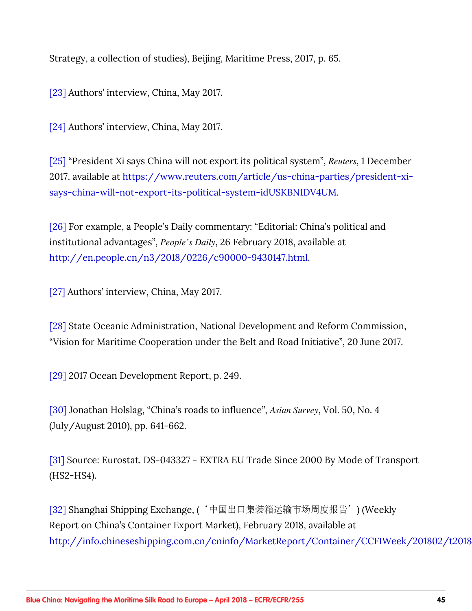<span id="page-44-0"></span>Strategy, a collection of studies), Beijing, Maritime Press, 2017, p. 65.

[\[23\]](#page-10-0) Authors' interview, China, May 2017.

[\[24\]](#page-10-0) Authors' interview, China, May 2017.

[\[25\]](#page-10-0) "President Xi says China will not export its political system", *Reuters*, 1 December 2017, available at [https://www.reuters.com/article/us-china-parties/president-xi](https://www.reuters.com/article/us-china-parties/president-xi-says-china-will-not-export-its-political-system-idUSKBN1DV4UM)[says-china-will-not-export-its-political-system-idUSKBN1DV4UM.](https://www.reuters.com/article/us-china-parties/president-xi-says-china-will-not-export-its-political-system-idUSKBN1DV4UM)

[\[26\]](#page-10-0) For example, a People's Daily commentary: "Editorial: China's political and institutional advantages", *People's Daily*, 26 February 2018, available at <http://en.people.cn/n3/2018/0226/c90000-9430147.html>.

[\[27\]](#page-11-0) Authors' interview, China, May 2017.

[\[28\]](#page-11-0) State Oceanic Administration, National Development and Reform Commission, "Vision for Maritime Cooperation under the Belt and Road Initiative", 20 June 2017.

[\[29\]](#page-11-0) 2017 Ocean Development Report, p. 249.

[\[30\]](#page-11-0) Jonathan Holslag, "China's roads to influence", *Asian Survey*, Vol. 50, No. 4 (July/August 2010), pp. 641-662.

[\[31\]](#page-12-0) Source: Eurostat. DS-043327 - EXTRA EU Trade Since 2000 By Mode of Transport (HS2-HS4).

[\[32\]](#page-12-0) Shanghai Shipping Exchange, ('中国出口集装箱运输市场周度报告') (Weekly Report on China's Container Export Market), February 2018, available at http://info.chineseshipping.com.cn/cninfo/MarketReport/Container/CCFIWeek/201802/t2018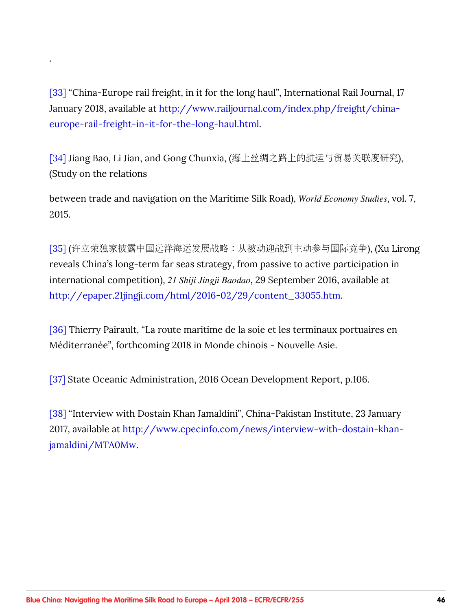[\[33\]](#page-12-0) "China-Europe rail freight, in it for the long haul", International Rail Journal, 17 January 2018, available at [http://www.railjournal.com/index.php/freight/china](http://www.railjournal.com/index.php/freight/china-europe-rail-freight-in-it-for-the-long-haul.html)[europe-rail-freight-in-it-for-the-long-haul.html](http://www.railjournal.com/index.php/freight/china-europe-rail-freight-in-it-for-the-long-haul.html).

<span id="page-45-0"></span>.

[\[34\]](#page-13-0) Jiang Bao, Li Jian, and Gong Chunxia, (海上丝绸之路上的航运与贸易关联度研究), (Study on the relations

between trade and navigation on the Maritime Silk Road), *World Economy Studies*, vol. 7, 2015.

[\[35\]](#page-13-0) (许立荣独家披露中国远洋海运发展战略: 从被动迎战到主动参与国际竞争), (Xu Lirong reveals China's long-term far seas strategy, from passive to active participation in international competition), *21 Shiji Jingji Baodao*, 29 September 2016, available at [http://epaper.21jingji.com/html/2016-02/29/content\\_33055.htm.](http://epaper.21jingji.com/html/2016-02/29/content_33055.htm)

[\[36\]](#page-14-0) Thierry Pairault, "La route maritime de la soie et les terminaux portuaires en Méditerranée", forthcoming 2018 in Monde chinois - Nouvelle Asie.

[\[37\]](#page-14-0) State Oceanic Administration, 2016 Ocean Development Report, p.106.

[\[38\]](#page-15-0) "Interview with Dostain Khan Jamaldini", China-Pakistan Institute, 23 January 2017, available at [http://www.cpecinfo.com/news/interview-with-dostain-khan](http://www.cpecinfo.com/news/interview-with-dostain-khan-jamaldini/MTA0Mw)[jamaldini/MTA0Mw.](http://www.cpecinfo.com/news/interview-with-dostain-khan-jamaldini/MTA0Mw)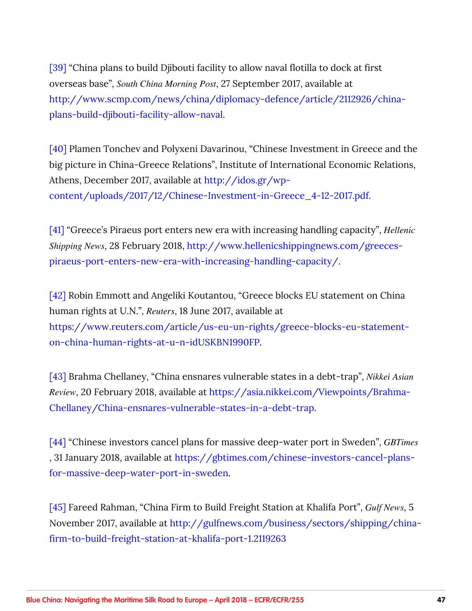<span id="page-46-0"></span>[\[39\]](#page-15-0) "China plans to build Djibouti facility to allow naval flotilla to dock at first overseas base", *South China Morning Post*, 27 September 2017, available at [http://www.scmp.com/news/china/diplomacy-defence/article/2112926/china](http://www.scmp.com/news/china/diplomacy-defence/article/2112926/china-plans-build-djibouti-facility-allow-naval)[plans-build-djibouti-facility-allow-naval](http://www.scmp.com/news/china/diplomacy-defence/article/2112926/china-plans-build-djibouti-facility-allow-naval).

[\[40\]](#page-15-0) Plamen Tonchev and Polyxeni Davarinou, "Chinese Investment in Greece and the big picture in China-Greece Relations", Institute of International Economic Relations, Athens, December 2017, available at [http://idos.gr/wp](http://idos.gr/wp-content/uploads/2017/12/Chinese-Investment-in-Greece_4-12-2017.pdf)[content/uploads/2017/12/Chinese-Investment-in-Greece\\_4-12-2017.pdf](http://idos.gr/wp-content/uploads/2017/12/Chinese-Investment-in-Greece_4-12-2017.pdf).

[\[41\]](#page-15-0) "Greece's Piraeus port enters new era with increasing handling capacity", *Hellenic Shipping News*, 28 February 2018, [http://www.hellenicshippingnews.com/greeces](http://www.hellenicshippingnews.com/greeces-piraeus-port-enters-new-era-with-increasing-handling-capacity/)[piraeus-port-enters-new-era-with-increasing-handling-capacity/](http://www.hellenicshippingnews.com/greeces-piraeus-port-enters-new-era-with-increasing-handling-capacity/).

[\[42\]](#page-16-0) Robin Emmott and Angeliki Koutantou, "Greece blocks EU statement on China human rights at U.N.", *Reuters*, 18 June 2017, available at [https://www.reuters.com/article/us-eu-un-rights/greece-blocks-eu-statement](https://www.reuters.com/article/us-eu-un-rights/greece-blocks-eu-statement-on-china-human-rights-at-u-n-idUSKBN1990FP)[on-china-human-rights-at-u-n-idUSKBN1990FP.](https://www.reuters.com/article/us-eu-un-rights/greece-blocks-eu-statement-on-china-human-rights-at-u-n-idUSKBN1990FP)

[\[43\]](#page-16-0) Brahma Chellaney, "China ensnares vulnerable states in a debt-trap", *Nikkei Asian Review*, 20 February 2018, available at [https://asia.nikkei.com/Viewpoints/Brahma-](https://asia.nikkei.com/Viewpoints/Brahma-Chellaney/China-ensnares-vulnerable-states-in-a-debt-trap)[Chellaney/China-ensnares-vulnerable-states-in-a-debt-trap.](https://asia.nikkei.com/Viewpoints/Brahma-Chellaney/China-ensnares-vulnerable-states-in-a-debt-trap)

[\[44\]](#page-17-0) "Chinese investors cancel plans for massive deep-water port in Sweden", *GBTimes* , 31 January 2018, available at [https://gbtimes.com/chinese-investors-cancel-plans](https://gbtimes.com/chinese-investors-cancel-plans-for-massive-deep-water-port-in-sweden)[for-massive-deep-water-port-in-sweden](https://gbtimes.com/chinese-investors-cancel-plans-for-massive-deep-water-port-in-sweden).

[\[45\]](#page-17-0) Fareed Rahman, "China Firm to Build Freight Station at Khalifa Port", *Gulf News*, 5 November 2017, available at [http://gulfnews.com/business/sectors/shipping/china](http://gulfnews.com/business/sectors/shipping/china-firm-to-build-freight-station-at-khalifa-port-1.2119263)[firm-to-build-freight-station-at-khalifa-port-1.2119263](http://gulfnews.com/business/sectors/shipping/china-firm-to-build-freight-station-at-khalifa-port-1.2119263)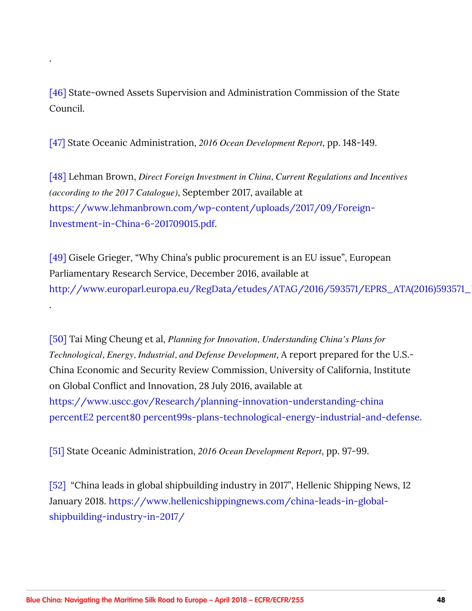[\[46\]](#page-18-0) State-owned Assets Supervision and Administration Commission of the State Council.

[\[47\]](#page-18-0) State Oceanic Administration, *2016 Ocean Development Report*, pp. 148-149.

<span id="page-47-0"></span>.

.

[\[48\]](#page-18-0) Lehman Brown, *Direct Foreign Investment in China, Current Regulations and Incentives (according to the 2017 Catalogue)*, September 2017, available at [https://www.lehmanbrown.com/wp-content/uploads/2017/09/Foreign-](https://www.lehmanbrown.com/wp-content/uploads/2017/09/Foreign-Investment-in-China-6-201709015.pdf)[Investment-in-China-6-201709015.pdf.](https://www.lehmanbrown.com/wp-content/uploads/2017/09/Foreign-Investment-in-China-6-201709015.pdf)

[\[49\]](#page-18-0) Gisele Grieger, "Why China's public procurement is an EU issue", European Parliamentary Research Service, December 2016, available at http://www.europarl.europa.eu/RegData/etudes/ATAG/2016/593571/EPRS\_ATA(2016)593571\_

[\[50\]](#page-19-0) Tai Ming Cheung et al, *Planning for Innovation, Understanding China's Plans for Technological, Energy, Industrial, and Defense Development*, A report prepared for the U.S.- China Economic and Security Review Commission, University of California, Institute on Global Conflict and Innovation, 28 July 2016, available at https://www.uscc.gov/Research/planning-innovation-understanding-china percentE2 percent80 percent99s-plans-technological-energy-industrial-and-defense.

[\[51\]](#page-19-0) State Oceanic Administration, *2016 Ocean Development Report*, pp. 97-99.

[\[52\]](#page-19-0)  "China leads in global shipbuilding industry in 2017", Hellenic Shipping News, 12 January 2018. [https://www.hellenicshippingnews.com/china-leads-in-global](https://www.hellenicshippingnews.com/china-leads-in-global-shipbuilding-industry-in-2017/)[shipbuilding-industry-in-2017/](https://www.hellenicshippingnews.com/china-leads-in-global-shipbuilding-industry-in-2017/)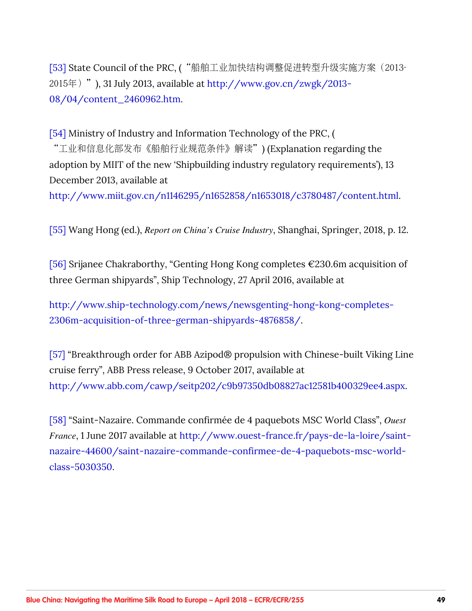<span id="page-48-0"></span>[\[53\]](#page-20-0) State Council of the PRC, ("船舶工业加快结构调整促进转型升级实施方案 (2013- $2015 \text{ H}$ ), 31 July 2013, available at [http://www.gov.cn/zwgk/2013-](http://www.gov.cn/zwgk/2013-08/04/content_2460962.htm) [08/04/content\\_2460962.htm](http://www.gov.cn/zwgk/2013-08/04/content_2460962.htm).

[\[54\]](#page-20-0) Ministry of Industry and Information Technology of the PRC, ( "工业和信息化部发布《船舶行业规范条件》解读")(Explanation regarding the adoption by MIIT of the new 'Shipbuilding industry regulatory requirements'), 13 December 2013, available at

<http://www.miit.gov.cn/n1146295/n1652858/n1653018/c3780487/content.html>.

[\[55\]](#page-20-0) Wang Hong (ed.), *Report on China's Cruise Industry*, Shanghai, Springer, 2018, p. 12.

[\[56\]](#page-21-0) Srijanee Chakraborthy, "Genting Hong Kong completes €230.6m acquisition of three German shipyards", Ship Technology, 27 April 2016, available at

[http://www.ship-technology.com/news/newsgenting-hong-kong-completes-](http://www.ship-technology.com/news/newsgenting-hong-kong-completes-2306m-acquisition-of-three-german-shipyards-4876858/)[2306m-acquisition-of-three-german-shipyards-4876858/](http://www.ship-technology.com/news/newsgenting-hong-kong-completes-2306m-acquisition-of-three-german-shipyards-4876858/).

[\[57\]](#page-21-0) "Breakthrough order for ABB Azipod® propulsion with Chinese-built Viking Line cruise ferry", ABB Press release, 9 October 2017, available at [http://www.abb.com/cawp/seitp202/c9b97350db08827ac12581b400329ee4.aspx.](http://www.abb.com/cawp/seitp202/c9b97350db08827ac12581b400329ee4.aspx)

[\[58\]](#page-21-0) "Saint-Nazaire. Commande confirmée de 4 paquebots MSC World Class", *Ouest France*, 1 June 2017 available at [http://www.ouest-france.fr/pays-de-la-loire/saint](http://www.ouest-france.fr/pays-de-la-loire/saint-nazaire-44600/saint-nazaire-commande-confirmee-de-4-paquebots-msc-world-class-5030350)[nazaire-44600/saint-nazaire-commande-confirmee-de-4-paquebots-msc-world](http://www.ouest-france.fr/pays-de-la-loire/saint-nazaire-44600/saint-nazaire-commande-confirmee-de-4-paquebots-msc-world-class-5030350)[class-5030350.](http://www.ouest-france.fr/pays-de-la-loire/saint-nazaire-44600/saint-nazaire-commande-confirmee-de-4-paquebots-msc-world-class-5030350)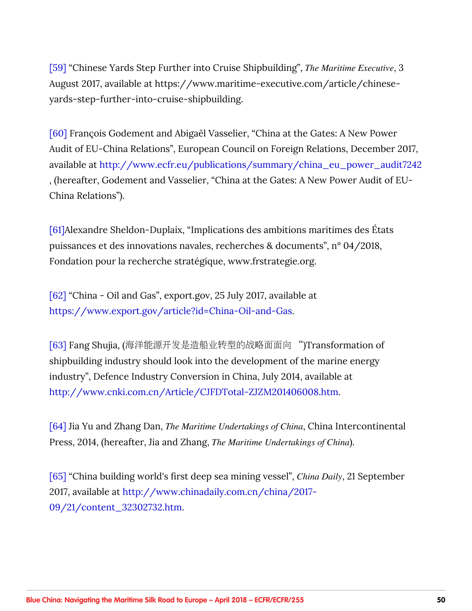<span id="page-49-0"></span>[\[59\]](#page-21-0) "Chinese Yards Step Further into Cruise Shipbuilding", *The Maritime Executive*, 3 August 2017, available at https://www.maritime-executive.com/article/chineseyards-step-further-into-cruise-shipbuilding.

[\[60\]](#page-21-0) François Godement and Abigaël Vasselier, "China at the Gates: A New Power Audit of EU-China Relations", European Council on Foreign Relations, December 2017, available at [http://www.ecfr.eu/publications/summary/china\\_eu\\_power\\_audit7242](http://www.ecfr.eu/publications/summary/china_eu_power_audit7242) , (hereafter, Godement and Vasselier, "China at the Gates: A New Power Audit of EU-China Relations").

[\[61\]A](#page-22-0)lexandre Sheldon-Duplaix, "Implications des ambitions maritimes des États puissances et des innovations navales, recherches & documents", n° 04/2018, Fondation pour la recherche stratégique, www.frstrategie.org.

[\[62\]](#page-23-0) "China - Oil and Gas", export.gov, 25 July 2017, available at <https://www.export.gov/article?id=China-Oil-and-Gas>.

[\[63\]](#page-24-0) Fang Shujia, (海洋能源开发是造船业转型的战略面面向 ")Transformation of shipbuilding industry should look into the development of the marine energy industry", Defence Industry Conversion in China, July 2014, available at <http://www.cnki.com.cn/Article/CJFDTotal-ZJZM201406008.htm>.

[\[64\]](#page-25-0) Jia Yu and Zhang Dan, *The Maritime Undertakings of China*, China Intercontinental Press, 2014, (hereafter, Jia and Zhang, *The Maritime Undertakings of China*).

[\[65\]](#page-25-0) "China building world's first deep sea mining vessel", *China Daily*, 21 September 2017, available at [http://www.chinadaily.com.cn/china/2017-](http://www.chinadaily.com.cn/china/2017-09/21/content_32302732.htm) [09/21/content\\_32302732.htm](http://www.chinadaily.com.cn/china/2017-09/21/content_32302732.htm).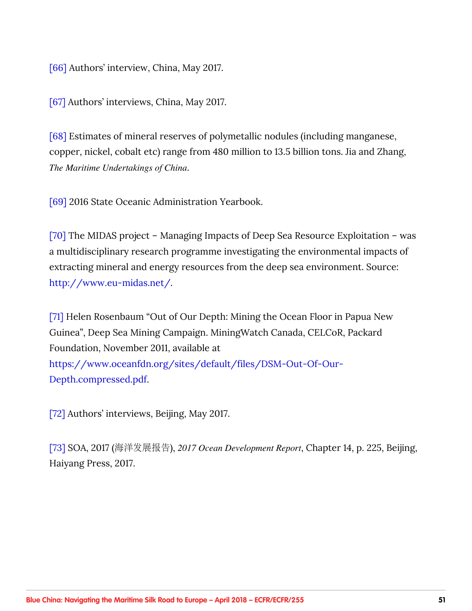<span id="page-50-0"></span>[\[66\]](#page-26-0) Authors' interview, China, May 2017.

[\[67\]](#page-26-0) Authors' interviews, China, May 2017.

[\[68\]](#page-26-0) Estimates of mineral reserves of polymetallic nodules (including manganese, copper, nickel, cobalt etc) range from 480 million to 13.5 billion tons. Jia and Zhang, *The Maritime Undertakings of China*.

[\[69\]](#page-27-0) 2016 State Oceanic Administration Yearbook.

[\[70\]](#page-27-0) The MIDAS project – Managing Impacts of Deep Sea Resource Exploitation – was a multidisciplinary research programme investigating the environmental impacts of extracting mineral and energy resources from the deep sea environment. Source: <http://www.eu-midas.net/>.

[\[71\]](#page-27-0) Helen Rosenbaum "Out of Our Depth: Mining the Ocean Floor in Papua New Guinea", Deep Sea Mining Campaign. MiningWatch Canada, CELCoR, Packard Foundation, November 2011, available at [https://www.oceanfdn.org/sites/default/files/DSM-Out-Of-Our-](https://www.oceanfdn.org/sites/default/files/DSM-Out-Of-Our-Depth.compressed.pdf)[Depth.compressed.pdf.](https://www.oceanfdn.org/sites/default/files/DSM-Out-Of-Our-Depth.compressed.pdf)

[\[72\]](#page-27-0) Authors' interviews, Beijing, May 2017.

[\[73\]](#page-28-0) SOA, 2017 (海洋发展报告), 2017 Ocean Development Report, Chapter 14, p. 225, Beijing, Haiyang Press, 2017.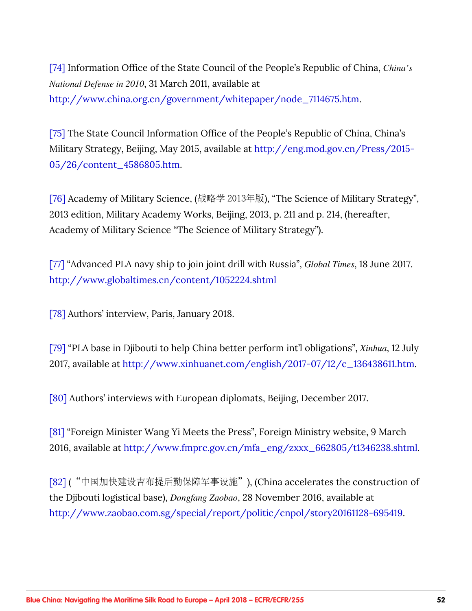<span id="page-51-0"></span>[\[74\]](#page-28-0) Information Office of the State Council of the People's Republic of China, *China's National Defense in 2010*, 31 March 2011, available at [http://www.china.org.cn/government/whitepaper/node\\_7114675.htm](http://www.china.org.cn/government/whitepaper/node_7114675.htm).

[\[75\]](#page-28-0) The State Council Information Office of the People's Republic of China, China's Military Strategy, Beijing, May 2015, available at [http://eng.mod.gov.cn/Press/2015-](http://eng.mod.gov.cn/Press/2015-05/26/content_4586805.htm) [05/26/content\\_4586805.htm](http://eng.mod.gov.cn/Press/2015-05/26/content_4586805.htm).

[\[76\]](#page-28-0) Academy of Military Science, (战略学 2013年版), "The Science of Military Strategy", 2013 edition, Military Academy Works, Beijing, 2013, p. 211 and p. 214, (hereafter, Academy of Military Science "The Science of Military Strategy").

[\[77\]](#page-30-0) "Advanced PLA navy ship to join joint drill with Russia", *Global Times*, 18 June 2017. <http://www.globaltimes.cn/content/1052224.shtml>

[\[78\]](#page-30-0) Authors' interview, Paris, January 2018.

[\[79\]](#page-31-0) "PLA base in Djibouti to help China better perform int'l obligations", *Xinhua*, 12 July 2017, available at [http://www.xinhuanet.com/english/2017-07/12/c\\_136438611.htm.](http://www.xinhuanet.com/english/2017-07/12/c_136438611.htm)

[\[80\]](#page-31-0) Authors' interviews with European diplomats, Beijing, December 2017.

[\[81\]](#page-32-0) "Foreign Minister Wang Yi Meets the Press", Foreign Ministry website, 9 March 2016, available at [http://www.fmprc.gov.cn/mfa\\_eng/zxxx\\_662805/t1346238.shtml.](http://www.fmprc.gov.cn/mfa_eng/zxxx_662805/t1346238.shtml)

[\[82\]](#page-32-0) ("中国加快建设吉布提后勤保障军事设施"), (China accelerates the construction of the Djibouti logistical base), *Dongfang Zaobao*, 28 November 2016, available at [http://www.zaobao.com.sg/special/report/politic/cnpol/story20161128-695419.](http://www.zaobao.com.sg/special/report/politic/cnpol/story20161128-695419)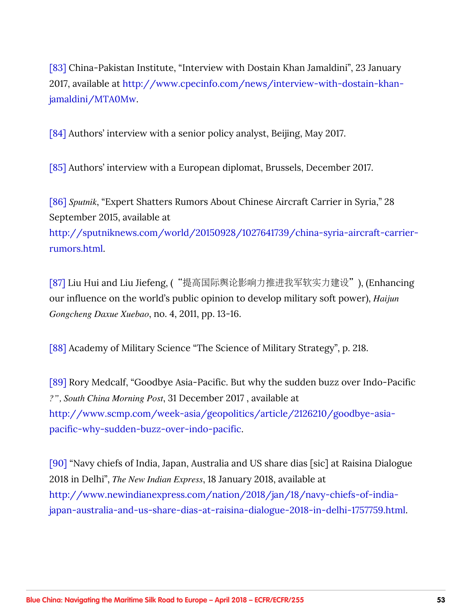<span id="page-52-0"></span>[\[83\]](#page-33-0) China-Pakistan Institute, "Interview with Dostain Khan Jamaldini", 23 January 2017, available at [http://www.cpecinfo.com/news/interview-with-dostain-khan](http://www.cpecinfo.com/news/interview-with-dostain-khan-jamaldini/MTA0Mw)[jamaldini/MTA0Mw.](http://www.cpecinfo.com/news/interview-with-dostain-khan-jamaldini/MTA0Mw)

[\[84\]](#page-33-0) Authors' interview with a senior policy analyst, Beijing, May 2017.

[\[85\]](#page-33-0) Authors' interview with a European diplomat, Brussels, December 2017.

[\[86\]](#page-34-0) *Sputnik*, "Expert Shatters Rumors About Chinese Aircraft Carrier in Syria," 28 September 2015, available at [http://sputniknews.com/world/20150928/1027641739/china-syria-aircraft-carrier](http://sputniknews.com/world/20150928/1027641739/china-syria-aircraft-carrier-rumors.html)[rumors.html.](http://sputniknews.com/world/20150928/1027641739/china-syria-aircraft-carrier-rumors.html)

[\[87\]](#page-34-0) Liu Hui and Liu Jiefeng, ("提高国际舆论影响力推进我军软实力建设"), (Enhancing our influence on the world's public opinion to develop military soft power), *Haijun Gongcheng Daxue Xuebao*, no. 4, 2011, pp. 13-16.

[\[88\]](#page-34-0) Academy of Military Science "The Science of Military Strategy", p. 218.

[\[89\]](#page-35-0) Rory Medcalf, "Goodbye Asia-Pacific. But why the sudden buzz over Indo-Pacific *?", South China Morning Post*, 31 December 2017 , available at [http://www.scmp.com/week-asia/geopolitics/article/2126210/goodbye-asia](http://www.scmp.com/week-asia/geopolitics/article/2126210/goodbye-asia-pacific-why-sudden-buzz-over-indo-pacific)[pacific-why-sudden-buzz-over-indo-pacific](http://www.scmp.com/week-asia/geopolitics/article/2126210/goodbye-asia-pacific-why-sudden-buzz-over-indo-pacific).

[\[90\]](#page-35-0) "Navy chiefs of India, Japan, Australia and US share dias [sic] at Raisina Dialogue 2018 in Delhi", *The New Indian Express*, 18 January 2018, available at [http://www.newindianexpress.com/nation/2018/jan/18/navy-chiefs-of-india](http://www.newindianexpress.com/nation/2018/jan/18/navy-chiefs-of-india-japan-australia-and-us-share-dias-at-raisina-dialogue-2018-in-delhi-1757759.html)[japan-australia-and-us-share-dias-at-raisina-dialogue-2018-in-delhi-1757759.html](http://www.newindianexpress.com/nation/2018/jan/18/navy-chiefs-of-india-japan-australia-and-us-share-dias-at-raisina-dialogue-2018-in-delhi-1757759.html).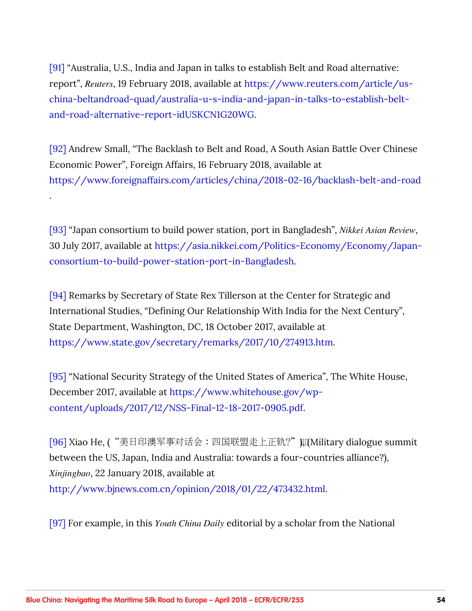<span id="page-53-0"></span>[\[91\]](#page-35-0) "Australia, U.S., India and Japan in talks to establish Belt and Road alternative: report", *Reuters*, 19 February 2018, available at [https://www.reuters.com/article/us](https://www.reuters.com/article/us-china-beltandroad-quad/australia-u-s-india-and-japan-in-talks-to-establish-belt-and-road-alternative-report-idUSKCN1G20WG)[china-beltandroad-quad/australia-u-s-india-and-japan-in-talks-to-establish-belt](https://www.reuters.com/article/us-china-beltandroad-quad/australia-u-s-india-and-japan-in-talks-to-establish-belt-and-road-alternative-report-idUSKCN1G20WG)[and-road-alternative-report-idUSKCN1G20WG.](https://www.reuters.com/article/us-china-beltandroad-quad/australia-u-s-india-and-japan-in-talks-to-establish-belt-and-road-alternative-report-idUSKCN1G20WG)

[\[92\]](#page-35-0) Andrew Small, "The Backlash to Belt and Road, A South Asian Battle Over Chinese Economic Power", Foreign Affairs, 16 February 2018, available at <https://www.foreignaffairs.com/articles/china/2018-02-16/backlash-belt-and-road>

.

[\[93\]](#page-35-0) "Japan consortium to build power station, port in Bangladesh", *Nikkei Asian Review*, 30 July 2017, available at [https://asia.nikkei.com/Politics-Economy/Economy/Japan](https://asia.nikkei.com/Politics-Economy/Economy/Japan-consortium-to-build-power-station-port-in-Bangladesh)[consortium-to-build-power-station-port-in-Bangladesh](https://asia.nikkei.com/Politics-Economy/Economy/Japan-consortium-to-build-power-station-port-in-Bangladesh).

[\[94\]](#page-35-0) Remarks by Secretary of State Rex Tillerson at the Center for Strategic and International Studies, "Defining Our Relationship With India for the Next Century", State Department, Washington, DC, 18 October 2017, available at <https://www.state.gov/secretary/remarks/2017/10/274913.htm>.

[\[95\]](#page-35-0) "National Security Strategy of the United States of America", The White House, December 2017, available at [https://www.whitehouse.gov/wp](https://www.whitehouse.gov/wp-content/uploads/2017/12/NSS-Final-12-18-2017-0905.pdf)[content/uploads/2017/12/NSS-Final-12-18-2017-0905.pdf](https://www.whitehouse.gov/wp-content/uploads/2017/12/NSS-Final-12-18-2017-0905.pdf).

[\[96\]](#page-36-0) Xiao He, ("美日印澳军事对话会:四国联盟走上正轨?" µq(Military dialogue summit between the US, Japan, India and Australia: towards a four-countries alliance?), *Xinjingbao*, 22 January 2018, available at <http://www.bjnews.com.cn/opinion/2018/01/22/473432.html>.

[\[97\]](#page-36-0) For example, in this *Youth China Daily* editorial by a scholar from the National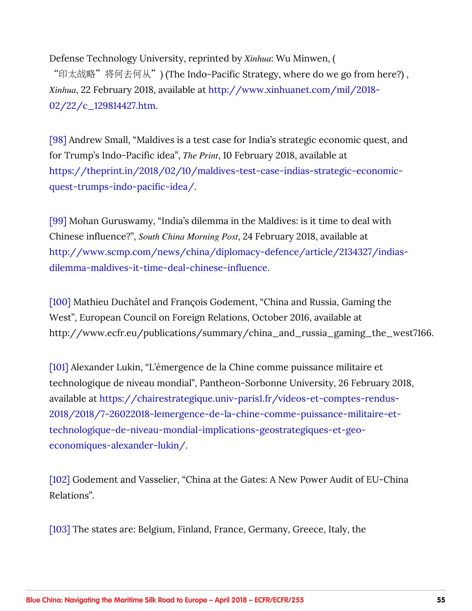<span id="page-54-0"></span>Defense Technology University, reprinted by *Xinhua*: Wu Minwen, ( "印太战略"将何去何从") (The Indo-Pacific Strategy, where do we go from here?), *Xinhua*, 22 February 2018, available at [http://www.xinhuanet.com/mil/2018-](http://www.xinhuanet.com/mil/2018-02/22/c_129814427.htm) [02/22/c\\_129814427.htm.](http://www.xinhuanet.com/mil/2018-02/22/c_129814427.htm)

[\[98\]](#page-36-0) Andrew Small, "Maldives is a test case for India's strategic economic quest, and for Trump's Indo-Pacific idea", *The Print*, 10 February 2018, available at [https://theprint.in/2018/02/10/maldives-test-case-indias-strategic-economic](https://theprint.in/2018/02/10/maldives-test-case-indias-strategic-economic-quest-trumps-indo-pacific-idea/)[quest-trumps-indo-pacific-idea/](https://theprint.in/2018/02/10/maldives-test-case-indias-strategic-economic-quest-trumps-indo-pacific-idea/).

[\[99\]](#page-36-0) Mohan Guruswamy, "India's dilemma in the Maldives: is it time to deal with Chinese influence?", *South China Morning Post*, 24 February 2018, available at [http://www.scmp.com/news/china/diplomacy-defence/article/2134327/indias](http://www.scmp.com/news/china/diplomacy-defence/article/2134327/indias-dilemma-maldives-it-time-deal-chinese-influence)[dilemma-maldives-it-time-deal-chinese-influence](http://www.scmp.com/news/china/diplomacy-defence/article/2134327/indias-dilemma-maldives-it-time-deal-chinese-influence).

[\[100\]](#page-37-0) Mathieu Duchâtel and François Godement, "China and Russia, Gaming the West", European Council on Foreign Relations, October 2016, available at http://www.ecfr.eu/publications/summary/china\_and\_russia\_gaming\_the\_west7166.

[\[101\]](#page-37-0) Alexander Lukin, "L'émergence de la Chine comme puissance militaire et technologique de niveau mondial", Pantheon-Sorbonne University, 26 February 2018, available at [https://chairestrategique.univ-paris1.fr/videos-et-comptes-rendus-](https://chairestrategique.univ-paris1.fr/videos-et-comptes-rendus-2018/2018/7-26022018-lemergence-de-la-chine-comme-puissance-militaire-et-technologique-de-niveau-mondial-implications-geostrategiques-et-geo-economiques-alexander-lukin/)[2018/2018/7-26022018-lemergence-de-la-chine-comme-puissance-militaire-et](https://chairestrategique.univ-paris1.fr/videos-et-comptes-rendus-2018/2018/7-26022018-lemergence-de-la-chine-comme-puissance-militaire-et-technologique-de-niveau-mondial-implications-geostrategiques-et-geo-economiques-alexander-lukin/)[technologique-de-niveau-mondial-implications-geostrategiques-et-geo](https://chairestrategique.univ-paris1.fr/videos-et-comptes-rendus-2018/2018/7-26022018-lemergence-de-la-chine-comme-puissance-militaire-et-technologique-de-niveau-mondial-implications-geostrategiques-et-geo-economiques-alexander-lukin/)[economiques-alexander-lukin/.](https://chairestrategique.univ-paris1.fr/videos-et-comptes-rendus-2018/2018/7-26022018-lemergence-de-la-chine-comme-puissance-militaire-et-technologique-de-niveau-mondial-implications-geostrategiques-et-geo-economiques-alexander-lukin/)

[\[102\]](#page-37-0) Godement and Vasselier, "China at the Gates: A New Power Audit of EU-China Relations".

[\[103\]](#page-39-0) The states are: Belgium, Finland, France, Germany, Greece, Italy, the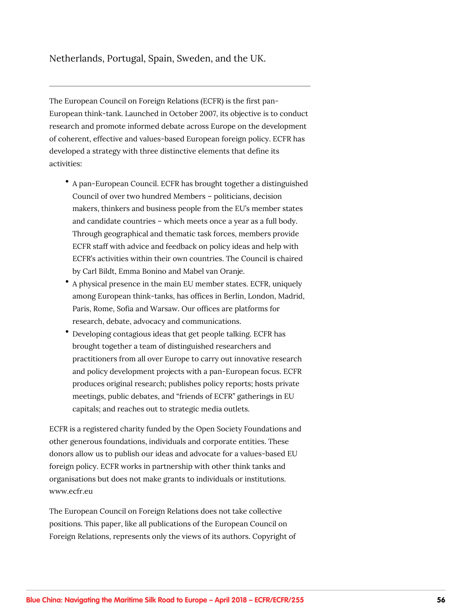#### Netherlands, Portugal, Spain, Sweden, and the UK.

The European Council on Foreign Relations (ECFR) is the first pan-European think-tank. Launched in October 2007, its objective is to conduct research and promote informed debate across Europe on the development of coherent, effective and values-based European foreign policy. ECFR has developed a strategy with three distinctive elements that define its activities:

- A pan-European Council. ECFR has brought together a distinguished Council of over two hundred Members – politicians, decision makers, thinkers and business people from the EU's member states and candidate countries – which meets once a year as a full body. Through geographical and thematic task forces, members provide ECFR staff with advice and feedback on policy ideas and help with ECFR's activities within their own countries. The Council is chaired by Carl Bildt, Emma Bonino and Mabel van Oranje.
- A physical presence in the main EU member states. ECFR, uniquely among European think-tanks, has offices in Berlin, London, Madrid, Paris, Rome, Sofia and Warsaw. Our offices are platforms for research, debate, advocacy and communications.
- Developing contagious ideas that get people talking. ECFR has brought together a team of distinguished researchers and practitioners from all over Europe to carry out innovative research and policy development projects with a pan-European focus. ECFR produces original research; publishes policy reports; hosts private meetings, public debates, and "friends of ECFR" gatherings in EU capitals; and reaches out to strategic media outlets.

ECFR is a registered charity funded by the Open Society Foundations and other generous foundations, individuals and corporate entities. These donors allow us to publish our ideas and advocate for a values-based EU foreign policy. ECFR works in partnership with other think tanks and organisations but does not make grants to individuals or institutions. www.ecfr.eu

The European Council on Foreign Relations does not take collective positions. This paper, like all publications of the European Council on Foreign Relations, represents only the views of its authors. Copyright of